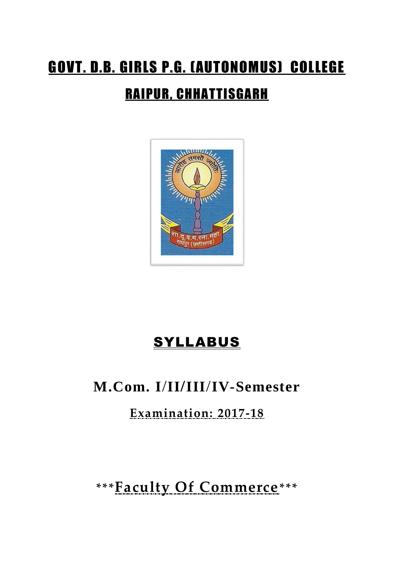# GOVT. D.B. GIRLS P.G. (AUTONOMUS) COLLEGE RAIPUR, CHHATTISGARH



# SYLLABUS

# **M.Com. I**/**II/III**/**IV-Semester**

**Examination: 2017-18**

**\*\*\*Faculty Of Commerce\*\*\***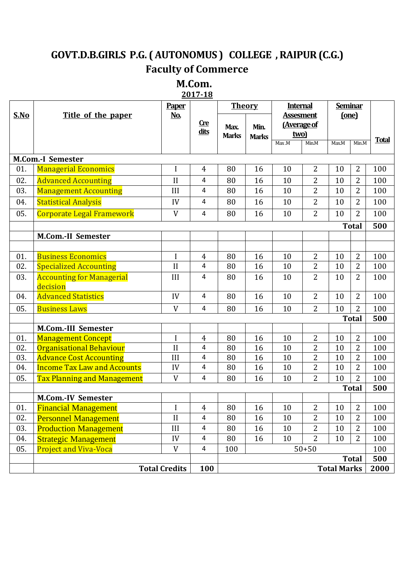# **GOVT.D.B.GIRLS P.G. ( AUTONOMUS ) COLLEGE , RAIPUR (C.G.) Faculty of Commerce**

# **M.Com.**

**2017-18**

|            |                                                                   | <b>Paper</b>               |                     | <b>Theory</b>        |              | <b>Internal</b>                 |                     | <b>Seminar</b> |                                  |              |
|------------|-------------------------------------------------------------------|----------------------------|---------------------|----------------------|--------------|---------------------------------|---------------------|----------------|----------------------------------|--------------|
| S.No       | Title of the paper                                                | <u>No.</u>                 | <u>Cre</u>          |                      |              | <b>Assesment</b><br>(Average of |                     | (one)          |                                  |              |
|            |                                                                   |                            | dits                | Max.<br><b>Marks</b> | Min.         | two)                            |                     |                |                                  |              |
|            |                                                                   |                            |                     |                      | <b>Marks</b> | Max.M                           | Min.M               | Max.M          | Min.M                            | <b>Total</b> |
|            |                                                                   |                            |                     |                      |              |                                 |                     |                |                                  |              |
| 01.        | <b>M.Com.-I Semester</b>                                          |                            |                     | 80                   |              |                                 | $\overline{2}$      | 10             | $\overline{2}$                   | 100          |
|            | <b>Managerial Economics</b>                                       | I                          | $\overline{4}$      |                      | 16           | 10                              |                     |                |                                  |              |
| 02.        | <b>Advanced Accounting</b>                                        | $\prod$                    | 4                   | 80                   | 16           | 10                              | 2<br>$\overline{2}$ | 10             | 2                                | 100          |
| 03.        | <b>Management Accounting</b>                                      | III                        | $\overline{4}$      | 80                   | 16           | 10                              |                     | 10             | $\overline{2}$                   | 100          |
| 04.        | <b>Statistical Analysis</b>                                       | IV                         | $\overline{4}$      | 80                   | 16           | 10                              | $\overline{2}$      | 10             | $\overline{2}$                   | 100          |
| 05.        | <b>Corporate Legal Framework</b>                                  | V                          | 4                   | 80                   | 16           | 10                              | $\overline{2}$      | 10             | $\overline{2}$                   | 100          |
|            |                                                                   |                            |                     |                      |              |                                 |                     |                | <b>Total</b>                     | 500          |
|            | <b>M.Com.-II Semester</b>                                         |                            |                     |                      |              |                                 |                     |                |                                  |              |
|            |                                                                   |                            |                     |                      |              |                                 |                     |                |                                  |              |
| 01.        | <b>Business Economics</b>                                         | I                          | $\overline{4}$      | 80                   | 16           | 10                              | $\overline{2}$      | 10             | $\overline{2}$                   | 100          |
| 02.        | <b>Specialized Accounting</b>                                     | $\mathbf{I}$               | 4                   | 80                   | 16           | 10                              | $\overline{2}$      | 10             | $\overline{2}$                   | 100          |
| 03.        | <b>Accounting for Managerial</b>                                  | III                        | 4                   | 80                   | 16           | 10                              | $\overline{2}$      | 10             | $\overline{2}$                   | 100          |
|            | decision                                                          |                            |                     |                      |              |                                 |                     |                |                                  |              |
| 04.        | <b>Advanced Statistics</b>                                        | IV                         | $\overline{4}$      | 80                   | 16           | 10                              | $\overline{2}$      | 10             | $\overline{2}$                   | 100          |
| 05.        | <b>Business Laws</b>                                              | V                          | $\overline{4}$      | 80                   | 16           | 10                              | $\overline{2}$      | 10             | 2                                | 100          |
|            |                                                                   |                            |                     |                      |              |                                 |                     |                | <b>Total</b>                     | 500          |
|            | <b>M.Com.-III Semester</b>                                        |                            |                     |                      |              |                                 |                     |                |                                  |              |
| 01.        | <b>Management Concept</b>                                         | I                          | $\overline{4}$      | 80                   | 16           | 10                              | $\overline{2}$      | 10             | $\overline{2}$                   | 100          |
| 02.<br>03. | <b>Organisational Behaviour</b><br><b>Advance Cost Accounting</b> | $\overline{\rm II}$<br>III | 4<br>$\overline{4}$ | 80<br>80             | 16           | 10<br>10                        | 2<br>2              | 10<br>10       | $\overline{2}$<br>$\overline{2}$ | 100<br>100   |
| 04.        | <b>Income Tax Law and Accounts</b>                                | IV                         | 4                   | 80                   | 16<br>16     | 10                              | $\overline{2}$      | 10             | $\overline{2}$                   | 100          |
| 05.        | <b>Tax Planning and Management</b>                                | V                          | $\overline{4}$      | 80                   | 16           | 10                              | $\overline{2}$      | 10             | $\overline{2}$                   | 100          |
|            |                                                                   |                            |                     |                      |              |                                 |                     |                | <b>Total</b>                     | 500          |
|            | <b>M.Com.-IV Semester</b>                                         |                            |                     |                      |              |                                 |                     |                |                                  |              |
| 01.        | <b>Financial Management</b>                                       | $\mathbf I$                | $\overline{4}$      | 80                   | 16           | 10                              | $\overline{2}$      | 10             | $\overline{2}$                   | 100          |
| 02.        | <b>Personnel Management</b>                                       | $\rm II$                   | 4                   | 80                   | 16           | 10                              | $\overline{2}$      | 10             | 2                                | 100          |
| 03.        | <b>Production Management</b>                                      | III                        | $\overline{a}$      | 80                   | 16           | 10                              | $\overline{2}$      | 10             | $\overline{2}$                   | 100          |
| 04.        | <b>Strategic Management</b>                                       | IV                         | $\overline{a}$      | 80                   | 16           | 10                              | $\overline{2}$      | 10             | 2                                | 100          |
| 05.        | <b>Project and Viva-Voca</b>                                      | V                          | $\overline{4}$      | $50 + 50$<br>100     |              |                                 |                     | 100            |                                  |              |
|            |                                                                   |                            |                     |                      |              |                                 |                     |                | <b>Total</b>                     | 500          |
|            |                                                                   | <b>Total Credits</b>       | 100                 | <b>Total Marks</b>   |              |                                 |                     | 2000           |                                  |              |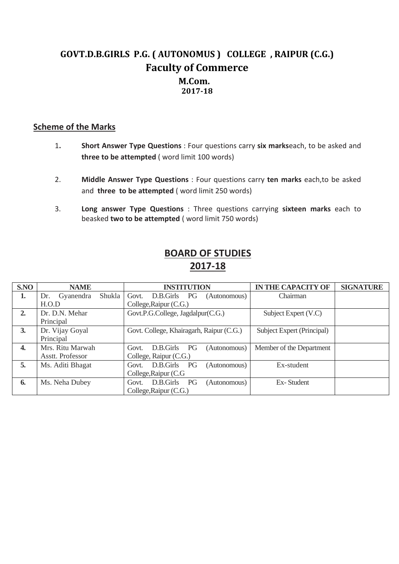# **GOVT.D.B.GIRLS P.G. ( AUTONOMUS ) COLLEGE , RAIPUR (C.G.) Faculty of Commerce M.Com. 2017-18**

## **Scheme of the Marks**

- 1**. Short Answer Type Questions** : Four questions carry **six marks**each, to be asked and **three to be attempted** ( word limit 100 words)
- 2. **Middle Answer Type Questions** : Four questions carry **ten marks** each,to be asked and **three to be attempted** ( word limit 250 words)
- 3. **Long answer Type Questions** : Three questions carrying **sixteen marks** each to beasked **two to be attempted** ( word limit 750 words)

| S.NO | <b>NAME</b>                | <b>INSTITUTION</b>                              | <b>IN THE CAPACITY OF</b>  | <b>SIGNATURE</b> |
|------|----------------------------|-------------------------------------------------|----------------------------|------------------|
| 1.   | Shukla<br>Gyanendra<br>Dr. | Govt.<br>D.B.Girls PG<br>(Autonomous)           | Chairman                   |                  |
|      | H.O.D                      | College, Raipur (C.G.)                          |                            |                  |
| 2.   | Dr. D.N. Mehar             | Govt.P.G.College, Jagdalpur(C.G.)               | Subject Expert (V.C)       |                  |
|      | Principal                  |                                                 |                            |                  |
| 3.   | Dr. Vijay Goyal            | Govt. College, Khairagarh, Raipur (C.G.)        | Subject Expert (Principal) |                  |
|      | Principal                  |                                                 |                            |                  |
| 4.   | Mrs. Ritu Marwah           | <b>PG</b><br>D.B.Girls<br>(Autonomous)<br>Govt. | Member of the Department   |                  |
|      | Asstt. Professor           | College, Raipur (C.G.)                          |                            |                  |
| 5.   | Ms. Aditi Bhagat           | D.B.Girls<br>PG<br>(Autonomous)<br>Govt.        | Ex-student                 |                  |
|      |                            | College, Raipur (C.G.                           |                            |                  |
| 6.   | Ms. Neha Dubey             | D.B.Girls<br>PG<br>(Autonomous)<br>Govt.        | Ex-Student                 |                  |
|      |                            | College, Raipur (C.G.)                          |                            |                  |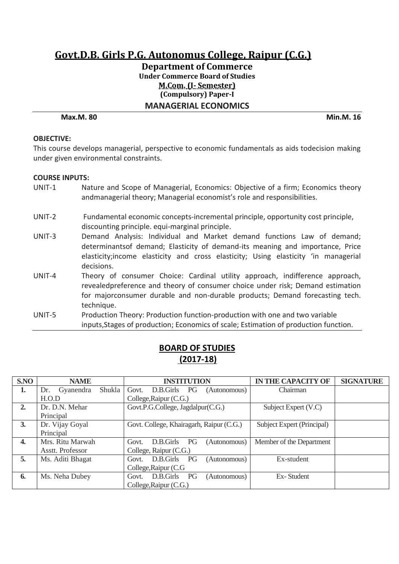## **Department of Commerce Under Commerce Board of Studies M.Com. (I- Semester) (Compulsory) Paper-I MANAGERIAL ECONOMICS**

#### **Max.M. 80 Min.M. 16**

#### **OBJECTIVE:**

This course develops managerial, perspective to economic fundamentals as aids todecision making under given environmental constraints.

#### **COURSE INPUTS:**

- UNIT-1 Nature and Scope of Managerial, Economics: Objective of a firm; Economics theory andmanagerial theory; Managerial economist's role and responsibilities.
- UNIT-2 Fundamental economic concepts-incremental principle, opportunity cost principle, discounting principle. equi-marginal principle.
- UNIT-3 Demand Analysis: Individual and Market demand functions Law of demand; determinantsof demand; Elasticity of demand-its meaning and importance, Price elasticity;income elasticity and cross elasticity; Using elasticity 'in managerial decisions.
- UNIT-4 Theory of consumer Choice: Cardinal utility approach, indifference approach, revealedpreference and theory of consumer choice under risk; Demand estimation for majorconsumer durable and non-durable products; Demand forecasting tech. technique.
- UNIT-5 Production Theory: Production function-production with one and two variable inputs,Stages of production; Economics of scale; Estimation of production function.

| S.NO | <b>NAME</b>                | <b>INSTITUTION</b>                              | <b>IN THE CAPACITY OF</b>  | <b>SIGNATURE</b> |
|------|----------------------------|-------------------------------------------------|----------------------------|------------------|
| 1.   | Shukla<br>Gyanendra<br>Dr. | D.B.Girls PG<br>Govt.<br>(Autonomous)           | Chairman                   |                  |
|      | H.O.D                      | College, Raipur (C.G.)                          |                            |                  |
| 2.   | Dr. D.N. Mehar             | Govt.P.G.College, Jagdalpur(C.G.)               | Subject Expert (V.C)       |                  |
|      | Principal                  |                                                 |                            |                  |
| 3.   | Dr. Vijay Goyal            | Govt. College, Khairagarh, Raipur (C.G.)        | Subject Expert (Principal) |                  |
|      | Principal                  |                                                 |                            |                  |
| 4.   | Mrs. Ritu Marwah           | <b>PG</b><br>D.B.Girls<br>(Autonomous)<br>Govt. | Member of the Department   |                  |
|      | Asstt. Professor           | College, Raipur (C.G.)                          |                            |                  |
| 5.   | Ms. Aditi Bhagat           | PG<br>D.B.Girls<br>(Autonomous)<br>Govt.        | Ex-student                 |                  |
|      |                            | College, Raipur (C.G.                           |                            |                  |
| 6.   | Ms. Neha Dubey             | D.B.Girls<br><b>PG</b><br>(Autonomous)<br>Govt. | Ex-Student                 |                  |
|      |                            | College, Raipur (C.G.)                          |                            |                  |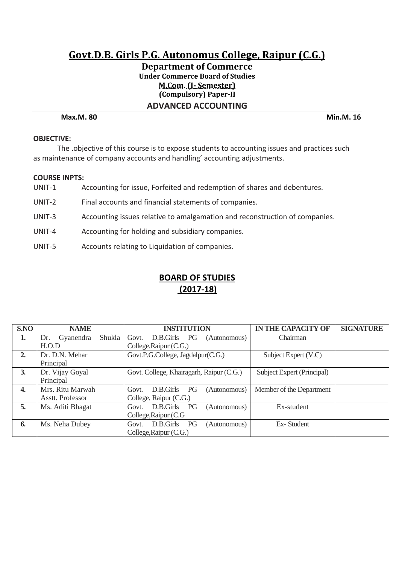## **Department of Commerce Under Commerce Board of Studies M.Com. (I- Semester) (Compulsory) Paper-II ADVANCED ACCOUNTING**

#### **Max.M. 80 Min.M. 16**

#### **OBJECTIVE:**

The .objective of this course is to expose students to accounting issues and practices such as maintenance of company accounts and handling' accounting adjustments.

#### **COURSE INPTS:**

| UNIT-1 | Accounting for issue, Forfeited and redemption of shares and debentures.    |
|--------|-----------------------------------------------------------------------------|
| UNIT-2 | Final accounts and financial statements of companies.                       |
| UNIT-3 | Accounting issues relative to amalgamation and reconstruction of companies. |
| UNIT-4 | Accounting for holding and subsidiary companies.                            |
| UNIT-5 | Accounts relating to Liquidation of companies.                              |

| S.NO         | <b>NAME</b>                | <b>INSTITUTION</b>                              | <b>IN THE CAPACITY OF</b><br><b>SIGNATURE</b> |
|--------------|----------------------------|-------------------------------------------------|-----------------------------------------------|
| 1.           | Shukla<br>Gyanendra<br>Dr. | Govt.<br>D.B.Girls<br><b>PG</b><br>(Autonomous) | Chairman                                      |
|              | H.O.D                      | College, Raipur (C.G.)                          |                                               |
| 2.           | Dr. D.N. Mehar             | Govt.P.G.College, Jagdalpur(C.G.)               | Subject Expert (V.C)                          |
|              | Principal                  |                                                 |                                               |
| 3.           | Dr. Vijay Goyal            | Govt. College, Khairagarh, Raipur (C.G.)        | Subject Expert (Principal)                    |
|              | Principal                  |                                                 |                                               |
| $\mathbf{4}$ | Mrs. Ritu Marwah           | PG<br>D.B.Girls<br>(Autonomous)<br>Govt.        | Member of the Department                      |
|              | Asstt. Professor           | College, Raipur (C.G.)                          |                                               |
| 5.           | Ms. Aditi Bhagat           | D.B.Girls<br>PG<br>(Autonomous)<br>Govt.        | Ex-student                                    |
|              |                            | College, Raipur (C.G.                           |                                               |
| 6.           | Ms. Neha Dubey             | D.B.Girls<br>PG<br>(Autonomous)<br>Govt.        | Ex-Student                                    |
|              |                            | College, Raipur (C.G.)                          |                                               |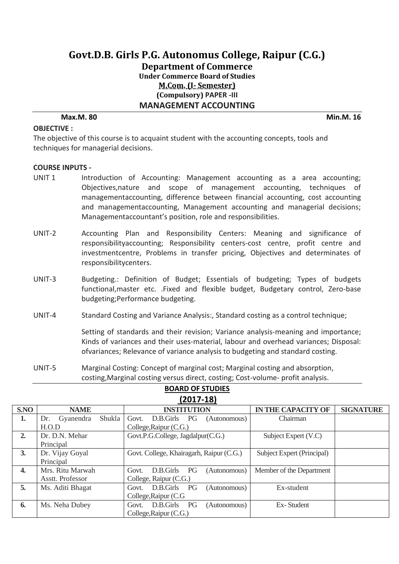**Department of Commerce Under Commerce Board of Studies M.Com. (I- Semester) (Compulsory) PAPER -III MANAGEMENT ACCOUNTING** 

#### **Max.M. 80 Min.M. 16**

#### **OBJECTIVE :**

The objective of this course is to acquaint student with the accounting concepts, tools and techniques for managerial decisions.

#### **COURSE INPUTS -**

- UNIT 1 Introduction of Accounting: Management accounting as a area accounting; Objectives,nature and scope of management accounting, techniques of managementaccounting, difference between financial accounting, cost accounting and managementaccounting, Management accounting and managerial decisions; Managementaccountant's position, role and responsibilities.
- UNIT-2 Accounting Plan and Responsibility Centers: Meaning and significance of responsibilityaccounting; Responsibility centers-cost centre, profit centre and investmentcentre, Problems in transfer pricing, Objectives and determinates of responsibilitycenters.
- UNIT-3 Budgeting.: Definition of Budget; Essentials of budgeting; Types of budgets functional,master etc. .Fixed and flexible budget, Budgetary control, Zero-base budgeting;Performance budgeting.
- UNIT-4 Standard Costing and Variance Analysis:, Standard costing as a control technique;

Setting of standards and their revision; Variance analysis-meaning and importance; Kinds of variances and their uses-material, labour and overhead variances; Disposal: ofvariances; Relevance of variance analysis to budgeting and standard costing.

UNIT-5 Marginal Costing: Concept of marginal cost; Marginal costing and absorption, costing,Marginal costing versus direct, costing; Cost-volume- profit analysis.

| EUI7-101         |                            |                                          |                                               |  |  |  |
|------------------|----------------------------|------------------------------------------|-----------------------------------------------|--|--|--|
| S.NO             | <b>NAME</b>                | <b>INSTITUTION</b>                       | <b>IN THE CAPACITY OF</b><br><b>SIGNATURE</b> |  |  |  |
| 1.               | Shukla<br>Gyanendra<br>Dr. | D.B.Girls PG<br>Govt.<br>(Autonomous)    | Chairman                                      |  |  |  |
|                  | H.O.D                      | College, Raipur (C.G.)                   |                                               |  |  |  |
| 2.               | Dr. D.N. Mehar             | Govt.P.G.College, Jagdalpur(C.G.)        | Subject Expert (V.C)                          |  |  |  |
|                  | Principal                  |                                          |                                               |  |  |  |
| 3.               | Dr. Vijay Goyal            | Govt. College, Khairagarh, Raipur (C.G.) | Subject Expert (Principal)                    |  |  |  |
|                  | Principal                  |                                          |                                               |  |  |  |
| $\overline{4}$ . | Mrs. Ritu Marwah           | PG<br>D.B.Girls<br>(Autonomous)<br>Govt. | Member of the Department                      |  |  |  |
|                  | Asstt. Professor           | College, Raipur (C.G.)                   |                                               |  |  |  |
| 5.               | Ms. Aditi Bhagat           | D.B.Girls PG<br>(Autonomous)<br>Govt.    | Ex-student                                    |  |  |  |
|                  |                            | College, Raipur (C.G.                    |                                               |  |  |  |
| 6.               | Ms. Neha Dubey             | D.B.Girls<br>PG<br>(Autonomous)<br>Govt. | Ex-Student                                    |  |  |  |
|                  |                            | College, Raipur (C.G.)                   |                                               |  |  |  |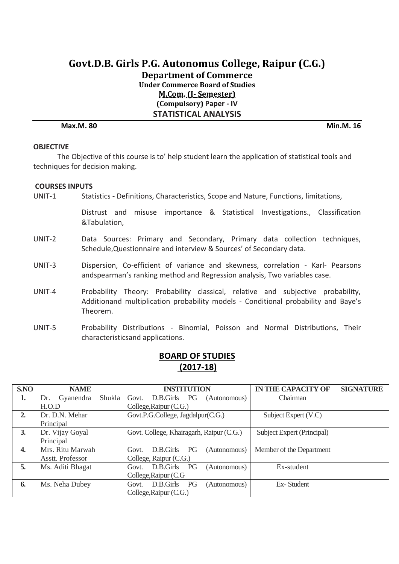# **Govt.D.B. Girls P.G. Autonomus College, Raipur (C.G.) Department of Commerce Under Commerce Board of Studies M.Com. (I- Semester) (Compulsory) Paper - IV STATISTICAL ANALYSIS**

**Max.M. 80 Min.M. 16**

### **OBJECTIVE**

The Objective of this course is to' help student learn the application of statistical tools and techniques for decision making.

#### **COURSES INPUTS**

UNIT-1 Statistics - Definitions, Characteristics, Scope and Nature, Functions, limitations,

Distrust and misuse importance & Statistical Investigations., Classification &Tabulation,

- UNIT-2 Data Sources: Primary and Secondary, Primary data collection techniques, Schedule,Questionnaire and interview & Sources' of Secondary data.
- UNIT-3 Dispersion, Co-efficient of variance and skewness, correlation Karl- Pearsons andspearman's ranking method and Regression analysis, Two variables case.
- UNIT-4 Probability Theory: Probability classical, relative and subjective probability, Additionand multiplication probability models - Conditional probability and Baye's Theorem.
- UNIT-5 Probability Distributions Binomial, Poisson and Normal Distributions, Their characteristicsand applications.

| S.NO | <b>NAME</b>                | <b>INSTITUTION</b>                       | <b>IN THE CAPACITY OF</b>  | <b>SIGNATURE</b> |
|------|----------------------------|------------------------------------------|----------------------------|------------------|
| 1.   | Shukla<br>Gyanendra<br>Dr. | D.B.Girls PG<br>Govt.<br>(Autonomous)    | Chairman                   |                  |
|      | H.O.D                      | College, Raipur (C.G.)                   |                            |                  |
| 2.   | Dr. D.N. Mehar             | Govt.P.G.College, Jagdalpur(C.G.)        | Subject Expert (V.C)       |                  |
|      | Principal                  |                                          |                            |                  |
| 3.   | Dr. Vijay Goyal            | Govt. College, Khairagarh, Raipur (C.G.) | Subject Expert (Principal) |                  |
|      | Principal                  |                                          |                            |                  |
| 4.   | Mrs. Ritu Marwah           | D.B.Girls<br>PG<br>(Autonomous)<br>Govt. | Member of the Department   |                  |
|      | Asstt. Professor           | College, Raipur (C.G.)                   |                            |                  |
| 5.   | Ms. Aditi Bhagat           | D.B.Girls PG<br>(Autonomous)<br>Govt.    | Ex-student                 |                  |
|      |                            | College, Raipur (C.G.                    |                            |                  |
| 6.   | Ms. Neha Dubey             | D.B.Girls<br>PG<br>(Autonomous)<br>Govt. | Ex-Student                 |                  |
|      |                            | College, Raipur (C.G.)                   |                            |                  |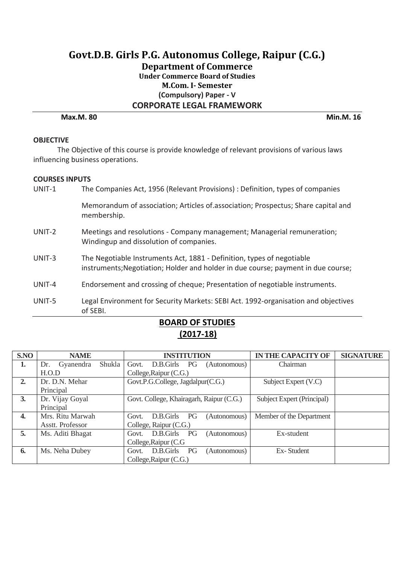# **Govt.D.B. Girls P.G. Autonomus College, Raipur (C.G.) Department of Commerce Under Commerce Board of Studies M.Com. I- Semester (Compulsory) Paper - V CORPORATE LEGAL FRAMEWORK Max.M. 80 Min.M. 16**

#### **OBJECTIVE**

The Objective of this course is provide knowledge of relevant provisions of various laws influencing business operations.

#### **COURSES INPUTS**

| UNIT-1 | The Companies Act, 1956 (Relevant Provisions) : Definition, types of companies                                                                              |
|--------|-------------------------------------------------------------------------------------------------------------------------------------------------------------|
|        | Memorandum of association; Articles of association; Prospectus; Share capital and<br>membership.                                                            |
| UNIT-2 | Meetings and resolutions - Company management; Managerial remuneration;<br>Windingup and dissolution of companies.                                          |
| UNIT-3 | The Negotiable Instruments Act, 1881 - Definition, types of negotiable<br>instruments; Negotiation; Holder and holder in due course; payment in due course; |
| UNIT-4 | Endorsement and crossing of cheque; Presentation of negotiable instruments.                                                                                 |
| UNIT-5 | Legal Environment for Security Markets: SEBI Act. 1992-organisation and objectives<br>of SEBI.                                                              |

| S.NO             | <b>NAME</b>                | <b>INSTITUTION</b>                              | <b>IN THE CAPACITY OF</b>  | <b>SIGNATURE</b> |
|------------------|----------------------------|-------------------------------------------------|----------------------------|------------------|
| 1.               | Shukla<br>Gyanendra<br>Dr. | D.B.Girls<br>Govt.<br><b>PG</b><br>(Autonomous) | Chairman                   |                  |
|                  | H.O.D                      | College, Raipur (C.G.)                          |                            |                  |
| 2.               | Dr. D.N. Mehar             | Govt.P.G.College, Jagdalpur(C.G.)               | Subject Expert (V.C)       |                  |
|                  | Principal                  |                                                 |                            |                  |
| 3.               | Dr. Vijay Goyal            | Govt. College, Khairagarh, Raipur (C.G.)        | Subject Expert (Principal) |                  |
|                  | Principal                  |                                                 |                            |                  |
| $\overline{4}$ . | Mrs. Ritu Marwah           | PG<br>D.B.Girls<br>Govt.<br>(Autonomous)        | Member of the Department   |                  |
|                  | Asstt. Professor           | College, Raipur (C.G.)                          |                            |                  |
| 5.               | Ms. Aditi Bhagat           | D.B.Girls<br>PG<br>(Autonomous)<br>Govt.        | Ex-student                 |                  |
|                  |                            | College, Raipur (C.G.                           |                            |                  |
| 6.               | Ms. Neha Dubey             | D.B.Girls<br>PG<br>(Autonomous)<br>Govt.        | Ex-Student                 |                  |
|                  |                            | College, Raipur (C.G.)                          |                            |                  |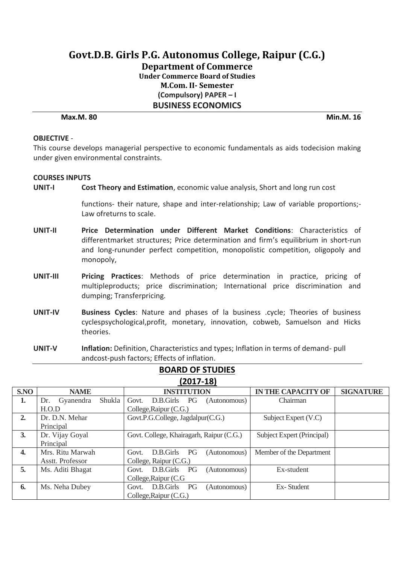**Department of Commerce Under Commerce Board of Studies M.Com. II- Semester (Compulsory) PAPER – I BUSINESS ECONOMICS** 

**Max.M. 80 Min.M. 16**

#### **OBJECTIVE** -

This course develops managerial perspective to economic fundamentals as aids todecision making under given environmental constraints.

#### **COURSES INPUTS**

**UNIT-I Cost Theory and Estimation**, economic value analysis, Short and long run cost

functions- their nature, shape and inter-relationship; Law of variable proportions;- Law ofreturns to scale.

- **UNIT-II Price Determination under Different Market Conditions**: Characteristics of differentmarket structures; Price determination and firm's equilibrium in short-run and long-rununder perfect competition, monopolistic competition, oligopoly and monopoly,
- **UNIT-III Pricing Practices**: Methods of price determination in practice, pricing of multipleproducts; price discrimination; International price discrimination and dumping; Transferpricing.
- **UNIT-IV Business Cycles**: Nature and phases of la business .cycle; Theories of business cyclespsychological,profit, monetary, innovation, cobweb, Samuelson and Hicks theories.
- **UNIT-V Inflation:** Definition, Characteristics and types; Inflation in terms of demand- pull andcost-push factors; Effects of inflation.

|      | $\sim$ $\sim$ $\sim$ $\sim$ $\sim$ $\sim$ |                                                 |                                               |  |  |  |  |
|------|-------------------------------------------|-------------------------------------------------|-----------------------------------------------|--|--|--|--|
| S.NO | <b>NAME</b>                               | <b>INSTITUTION</b>                              | <b>IN THE CAPACITY OF</b><br><b>SIGNATURE</b> |  |  |  |  |
| 1.   | Shukla<br>Gyanendra<br>Dr.                | D.B.Girls PG<br>Govt.<br>(Autonomous)           | Chairman                                      |  |  |  |  |
|      | H.O.D                                     | College, Raipur (C.G.)                          |                                               |  |  |  |  |
| 2.   | Dr. D.N. Mehar                            | Govt.P.G.College, Jagdalpur(C.G.)               | Subject Expert (V.C)                          |  |  |  |  |
|      | Principal                                 |                                                 |                                               |  |  |  |  |
| 3.   | Dr. Vijay Goyal                           | Govt. College, Khairagarh, Raipur (C.G.)        | Subject Expert (Principal)                    |  |  |  |  |
|      | Principal                                 |                                                 |                                               |  |  |  |  |
| 4.   | Mrs. Ritu Marwah                          | <b>PG</b><br>D.B.Girls<br>(Autonomous)<br>Govt. | Member of the Department                      |  |  |  |  |
|      | Asstt. Professor                          | College, Raipur (C.G.)                          |                                               |  |  |  |  |
| 5.   | Ms. Aditi Bhagat                          | D.B.Girls<br>PG<br>Govt.<br>(Autonomous)        | Ex-student                                    |  |  |  |  |
|      |                                           | College, Raipur (C.G.                           |                                               |  |  |  |  |
| 6.   | Ms. Neha Dubey                            | D.B.Girls PG<br>(Autonomous)<br>Govt.           | Ex-Student                                    |  |  |  |  |
|      |                                           | College, Raipur (C.G.)                          |                                               |  |  |  |  |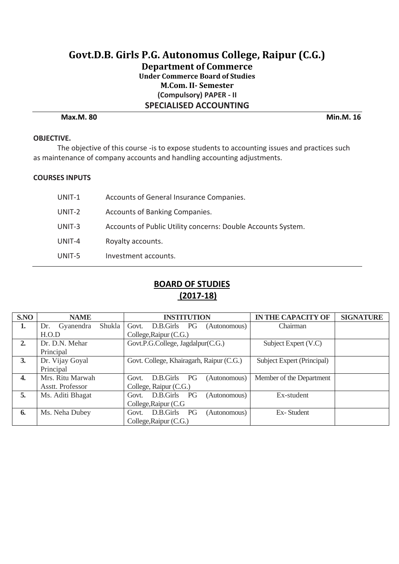# **Govt.D.B. Girls P.G. Autonomus College, Raipur (C.G.) Department of Commerce Under Commerce Board of Studies M.Com. II- Semester (Compulsory) PAPER - II SPECIALISED ACCOUNTING Max.M. 80 Min.M. 16**

#### **OBJECTIVE.**

The objective of this course -is to expose students to accounting issues and practices such as maintenance of company accounts and handling accounting adjustments.

#### **COURSES INPUTS**

| UNIT-1 | Accounts of General Insurance Companies.                     |
|--------|--------------------------------------------------------------|
| UNIT-2 | Accounts of Banking Companies.                               |
| UNIT-3 | Accounts of Public Utility concerns: Double Accounts System. |
| UNIT-4 | Royalty accounts.                                            |
| UNIT-5 | Investment accounts.                                         |

| S.NO | <b>NAME</b>                | <b>INSTITUTION</b>                       | <b>IN THE CAPACITY OF</b>  | <b>SIGNATURE</b> |
|------|----------------------------|------------------------------------------|----------------------------|------------------|
| 1.   | Shukla<br>Gyanendra<br>Dr. | D.B.Girls PG<br>Govt.<br>(Autonomous)    | Chairman                   |                  |
|      | H.O.D                      | College, Raipur (C.G.)                   |                            |                  |
| 2.   | Dr. D.N. Mehar             | Govt.P.G.College, Jagdalpur(C.G.)        | Subject Expert (V.C)       |                  |
|      | Principal                  |                                          |                            |                  |
| 3.   | Dr. Vijay Goyal            | Govt. College, Khairagarh, Raipur (C.G.) | Subject Expert (Principal) |                  |
|      | Principal                  |                                          |                            |                  |
| 4.   | Mrs. Ritu Marwah           | PG<br>D.B.Girls<br>(Autonomous)<br>Govt. | Member of the Department   |                  |
|      | Asstt. Professor           | College, Raipur (C.G.)                   |                            |                  |
| 5.   | Ms. Aditi Bhagat           | D.B.Girls<br>PG<br>(Autonomous)<br>Govt. | Ex-student                 |                  |
|      |                            | College, Raipur (C.G.                    |                            |                  |
| 6.   | Ms. Neha Dubey             | D.B.Girls<br>PG<br>(Autonomous)<br>Govt. | Ex-Student                 |                  |
|      |                            | College, Raipur (C.G.)                   |                            |                  |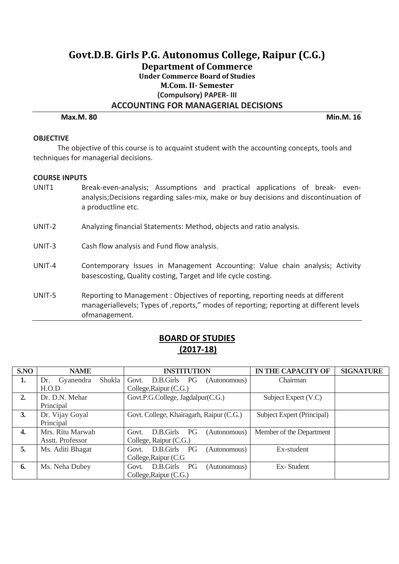# **Govt.D.B. Girls P.G. Autonomus College, Raipur (C.G.) Department of Commerce Under Commerce Board of Studies M.Com. II- Semester (Compulsory) PAPER- III ACCOUNTING FOR MANAGERIAL DECISIONS**

**Max.M. 80 Min.M. 16**

#### **OBJECTIVE**

The objective of this course is to acquaint student with the accounting concepts, tools and techniques for managerial decisions.

#### **COURSE INPUTS**

- UNIT1 Break-even-analysis; Assumptions and practical applications of break- evenanalysis;Decisions regarding sales-mix, make or buy decisions and discontinuation of a productline etc.
- UNIT-2 Analyzing financial Statements: Method, objects and ratio analysis.
- UNIT-3 Cash flow analysis and Fund flow analysis.
- UNIT-4 Contemporary Issues in Management Accounting: Value chain analysis; Activity basescosting, Quality costing, Target and life cycle costing.
- UNIT-5 Reporting to Management : Objectives of reporting, reporting needs at different manageriallevels; Types of , reports," modes of reporting; reporting at different levels ofmanagement.

| S.NO | <b>NAME</b>                | <b>INSTITUTION</b>                       | <b>IN THE CAPACITY OF</b>  | <b>SIGNATURE</b> |
|------|----------------------------|------------------------------------------|----------------------------|------------------|
| 1.   | Shukla<br>Gyanendra<br>Dr. | Govt.<br>D.B.Girls PG<br>(Autonomous)    | Chairman                   |                  |
|      | H.O.D                      | College, Raipur (C.G.)                   |                            |                  |
| 2.   | Dr. D.N. Mehar             | Govt.P.G.College, Jagdalpur(C.G.)        | Subject Expert (V.C)       |                  |
|      | Principal                  |                                          |                            |                  |
| 3.   | Dr. Vijay Goyal            | Govt. College, Khairagarh, Raipur (C.G.) | Subject Expert (Principal) |                  |
|      | Principal                  |                                          |                            |                  |
| 4.   | Mrs. Ritu Marwah           | PG<br>D.B.Girls<br>(Autonomous)<br>Govt. | Member of the Department   |                  |
|      | Asstt. Professor           | College, Raipur (C.G.)                   |                            |                  |
| 5.   | Ms. Aditi Bhagat           | D.B.Girls PG<br>(Autonomous)<br>Govt.    | Ex-student                 |                  |
|      |                            | College, Raipur (C.G.                    |                            |                  |
| 6.   | Ms. Neha Dubey             | D.B.Girls PG<br>(Autonomous)<br>Govt.    | Ex-Student                 |                  |
|      |                            | College, Raipur (C.G.)                   |                            |                  |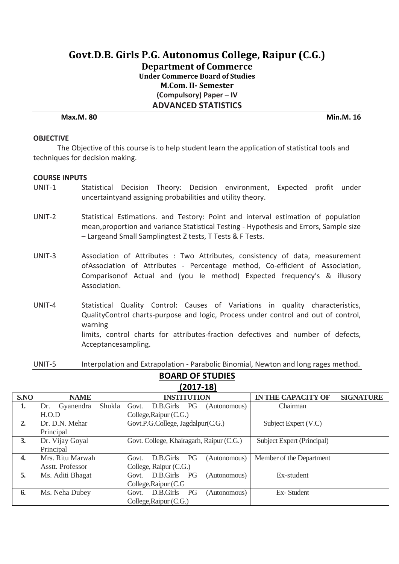**Department of Commerce**

**Under Commerce Board of Studies M.Com. II- Semester (Compulsory) Paper – IV** 

**ADVANCED STATISTICS**

#### **Max.M. 80 Min.M. 16**

#### **OBJECTIVE**

The Objective of this course is to help student learn the application of statistical tools and techniques for decision making.

#### **COURSE INPUTS**

- UNIT-1 Statistical Decision Theory: Decision environment, Expected profit under uncertaintyand assigning probabilities and utility theory.
- UNIT-2 Statistical Estimations. and Testory: Point and interval estimation of population mean,proportion and variance Statistical Testing - Hypothesis and Errors, Sample size – Largeand Small Samplingtest Z tests, T Tests & F Tests.
- UNIT-3 Association of Attributes : Two Attributes, consistency of data, measurement ofAssociation of Attributes - Percentage method, Co-efficient of Association, Comparisonof Actual and (you Ie method) Expected frequency's & illusory Association.
- UNIT-4 Statistical Quality Control: Causes of Variations in quality characteristics, QualityControl charts-purpose and logic, Process under control and out of control, warning limits, control charts for attributes-fraction defectives and number of defects, Acceptancesampling.
- UNIT-5 Interpolation and Extrapolation Parabolic Binomial, Newton and long rages method.

|             | <b>BOARD OF STUDIES</b> |
|-------------|-------------------------|
| $(2017-18)$ |                         |

| S.NO         | <b>NAME</b>                | <b>INSTITUTION</b>                              | <b>IN THE CAPACITY OF</b>  | <b>SIGNATURE</b> |
|--------------|----------------------------|-------------------------------------------------|----------------------------|------------------|
| 1.           | Shukla<br>Gyanendra<br>Dr. | Govt.<br>D.B.Girls<br><b>PG</b><br>(Autonomous) | Chairman                   |                  |
|              | H.O.D                      | College, Raipur (C.G.)                          |                            |                  |
| 2.           | Dr. D.N. Mehar             | Govt.P.G.College, Jagdalpur(C.G.)               | Subject Expert (V.C)       |                  |
|              | Principal                  |                                                 |                            |                  |
| 3.           | Dr. Vijay Goyal            | Govt. College, Khairagarh, Raipur (C.G.)        | Subject Expert (Principal) |                  |
|              | Principal                  |                                                 |                            |                  |
| $\mathbf{4}$ | Mrs. Ritu Marwah           | D.B.Girls<br>PG<br>(Autonomous)<br>Govt.        | Member of the Department   |                  |
|              | Asstt. Professor           | College, Raipur (C.G.)                          |                            |                  |
| 5.           | Ms. Aditi Bhagat           | D.B.Girls<br>PG<br>Govt.<br>(Autonomous)        | Ex-student                 |                  |
|              |                            | College, Raipur (C.G.                           |                            |                  |
| 6.           | Ms. Neha Dubey             | D.B.Girls<br>PG<br>(Autonomous)<br>Govt.        | Ex-Student                 |                  |
|              |                            | College, Raipur (C.G.)                          |                            |                  |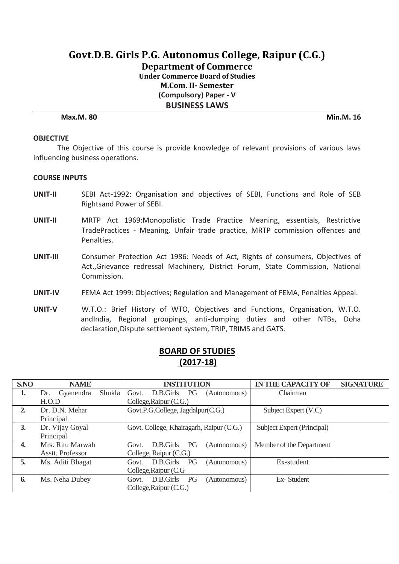**Department of Commerce**

**Under Commerce Board of Studies M.Com. II- Semester (Compulsory) Paper - V**

**BUSINESS LAWS**

**Max.M. 80 Min.M. 16**

#### **OBJECTIVE**

The Objective of this course is provide knowledge of relevant provisions of various laws influencing business operations.

#### **COURSE INPUTS**

- **UNIT-II** SEBI Act-1992: Organisation and objectives of SEBI, Functions and Role of SEB Rightsand Power of SEBI.
- **UNIT-II** MRTP Act 1969:Monopolistic Trade Practice Meaning, essentials, Restrictive TradePractices - Meaning, Unfair trade practice, MRTP commission offences and Penalties.
- **UNIT-III** Consumer Protection Act 1986: Needs of Act, Rights of consumers, Objectives of Act.,Grievance redressal Machinery, District Forum, State Commission, National Commission.
- **UNIT-IV** FEMA Act 1999: Objectives; Regulation and Management of FEMA, Penalties Appeal.
- **UNIT-V** W.T.O.: Brief History of WTO, Objectives and Functions, Organisation, W.T.O. andIndia, Regional groupings, anti-dumping duties and other NTBs, Doha declaration,Dispute settlement system, TRIP, TRIMS and GATS.

| S.NO             | <b>NAME</b>                | <b>INSTITUTION</b>                              | <b>IN THE CAPACITY OF</b>  | <b>SIGNATURE</b> |
|------------------|----------------------------|-------------------------------------------------|----------------------------|------------------|
| 1.               | Shukla<br>Gyanendra<br>Dr. | D.B.Girls PG<br>Govt.<br>(Autonomous)           | Chairman                   |                  |
|                  | H.O.D                      | College, Raipur (C.G.)                          |                            |                  |
| 2.               | Dr. D.N. Mehar             | Govt.P.G.College, Jagdalpur(C.G.)               | Subject Expert (V.C)       |                  |
|                  | Principal                  |                                                 |                            |                  |
| 3.               | Dr. Vijay Goyal            | Govt. College, Khairagarh, Raipur (C.G.)        | Subject Expert (Principal) |                  |
|                  | Principal                  |                                                 |                            |                  |
| $\overline{4}$ . | Mrs. Ritu Marwah           | PG<br>D.B.Girls<br>(Autonomous)<br>Govt.        | Member of the Department   |                  |
|                  | Asstt. Professor           | College, Raipur (C.G.)                          |                            |                  |
| 5.               | Ms. Aditi Bhagat           | D.B.Girls<br><b>PG</b><br>(Autonomous)<br>Govt. | Ex-student                 |                  |
|                  |                            | College, Raipur (C.G.                           |                            |                  |
| 6.               | Ms. Neha Dubey             | D.B.Girls<br>PG<br>Govt.<br>(Autonomous)        | Ex-Student                 |                  |
|                  |                            | College, Raipur (C.G.)                          |                            |                  |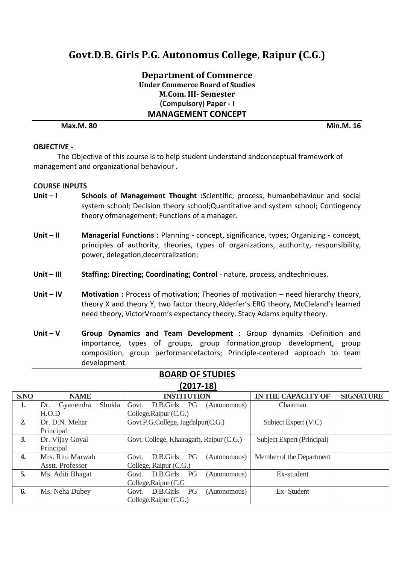**Department of Commerce Under Commerce Board of Studies M.Com. III- Semester (Compulsory) Paper - I MANAGEMENT CONCEPT** 

**Max.M. 80 Min.M. 16**

#### **OBJECTIVE -**

The Objective of this course is to help student understand andconceptual framework of management and organizational behaviour .

#### **COURSE INPUTS**

- Unit I Schools of Management Thought :Scientific, process, humanbehaviour and social system school; Decision theory school;Quantitative and system school; Contingency theory ofmanagement; Functions of a manager.
- **Unit – II Managerial Functions :** Planning concept, significance, types; Organizing concept, principles of authority, theories, types of organizations, authority, responsibility, power, delegation,decentralization;
- Unit III Staffing; Directing; Coordinating; Control nature, process, andtechniques.
- Unit IV Motivation : Process of motivation; Theories of motivation need hierarchy theory, theory X and theory Y, two factor theory,Alderfer's ERG theory, McCleland's learned need theory, VictorVroom's expectancy theory, Stacy Adams equity theory.
- **Unit – V Group Dynamics and Team Development :** Group dynamics -Definition and importance, types of groups, group formation,group development, group composition, group performancefactors; Principle-centered approach to team development.

|                  | $1 - 2 - 7 - 7$            |                                          |                            |                  |  |
|------------------|----------------------------|------------------------------------------|----------------------------|------------------|--|
| S.NO             | <b>NAME</b>                | <b>INSTITUTION</b>                       | <b>IN THE CAPACITY OF</b>  | <b>SIGNATURE</b> |  |
| 1.               | Shukla<br>Gyanendra<br>Dr. | Govt.<br>D.B.Girls PG<br>(Autonomous)    | Chairman                   |                  |  |
|                  | H.O.D                      | College, Raipur (C.G.)                   |                            |                  |  |
| 2.               | Dr. D.N. Mehar             | Govt.P.G.College, Jagdalpur(C.G.)        | Subject Expert (V.C)       |                  |  |
|                  | Principal                  |                                          |                            |                  |  |
| 3.               | Dr. Vijay Goyal            | Govt. College, Khairagarh, Raipur (C.G.) | Subject Expert (Principal) |                  |  |
|                  | Principal                  |                                          |                            |                  |  |
| $\overline{4}$ . | Mrs. Ritu Marwah           | PG<br>D.B.Girls<br>Govt.<br>(Autonomous) | Member of the Department   |                  |  |
|                  | Asstt. Professor           | College, Raipur (C.G.)                   |                            |                  |  |
| 5.               | Ms. Aditi Bhagat           | D.B.Girls<br>PG<br>(Autonomous)<br>Govt. | Ex-student                 |                  |  |
|                  |                            | College, Raipur (C.G.                    |                            |                  |  |
| 6.               | Ms. Neha Dubey             | D.B.Girls<br>PG<br>(Autonomous)<br>Govt. | Ex-Student                 |                  |  |
|                  |                            | College, Raipur (C.G.)                   |                            |                  |  |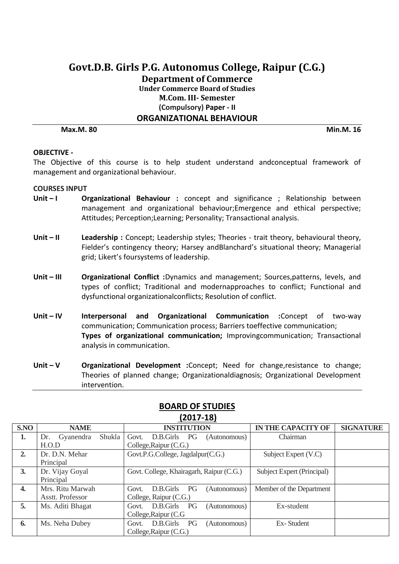# **Govt.D.B. Girls P.G. Autonomus College, Raipur (C.G.) Department of Commerce Under Commerce Board of Studies M.Com. III- Semester (Compulsory) Paper - II ORGANIZATIONAL BEHAVIOUR**

**Max.M. 80 Min.M. 16**

#### **OBJECTIVE -**

The Objective of this course is to help student understand andconceptual framework of management and organizational behaviour.

#### **COURSES INPUT**

- Unit I **Organizational Behaviour**: concept and significance; Relationship between management and organizational behaviour;Emergence and ethical perspective; Attitudes; Perception;Learning; Personality; Transactional analysis.
- Unit II Leadership : Concept; Leadership styles; Theories trait theory, behavioural theory, Fielder's contingency theory; Harsey andBlanchard's situational theory; Managerial grid; Likert's foursystems of leadership.
- **Unit – III Organizational Conflict :**Dynamics and management; Sources,patterns, levels, and types of conflict; Traditional and modernapproaches to conflict; Functional and dysfunctional organizationalconflicts; Resolution of conflict.
- **Unit – IV Interpersonal and Organizational Communication :**Concept of two-way communication; Communication process; Barriers toeffective communication; **Types of organizational communication;** Improvingcommunication; Transactional analysis in communication.
- **Unit V** Organizational Development :Concept; Need for change, resistance to change; Theories of planned change; Organizationaldiagnosis; Organizational Development intervention.

|      | 12017-101                  |                                          |                            |                  |  |
|------|----------------------------|------------------------------------------|----------------------------|------------------|--|
| S.NO | <b>NAME</b>                | <b>INSTITUTION</b>                       | <b>IN THE CAPACITY OF</b>  | <b>SIGNATURE</b> |  |
| 1.   | Shukla<br>Gyanendra<br>Dr. | D.B.Girls PG<br>Govt.<br>(Autonomous)    | Chairman                   |                  |  |
|      | H.O.D                      | College, Raipur (C.G.)                   |                            |                  |  |
| 2.   | Dr. D.N. Mehar             | Govt.P.G.College, Jagdalpur(C.G.)        | Subject Expert (V.C)       |                  |  |
|      | Principal                  |                                          |                            |                  |  |
| 3.   | Dr. Vijay Goyal            | Govt. College, Khairagarh, Raipur (C.G.) | Subject Expert (Principal) |                  |  |
|      | Principal                  |                                          |                            |                  |  |
| 4.   | Mrs. Ritu Marwah           | D.B.Girls<br>PG<br>Govt.<br>(Autonomous) | Member of the Department   |                  |  |
|      | Asstt. Professor           | College, Raipur (C.G.)                   |                            |                  |  |
| 5.   | Ms. Aditi Bhagat           | D.B.Girls PG<br>(Autonomous)<br>Govt.    | Ex-student                 |                  |  |
|      |                            | College, Raipur (C.G.                    |                            |                  |  |
| 6.   | Ms. Neha Dubey             | D.B.Girls<br>PG<br>(Autonomous)<br>Govt. | Ex-Student                 |                  |  |
|      |                            | College, Raipur (C.G.)                   |                            |                  |  |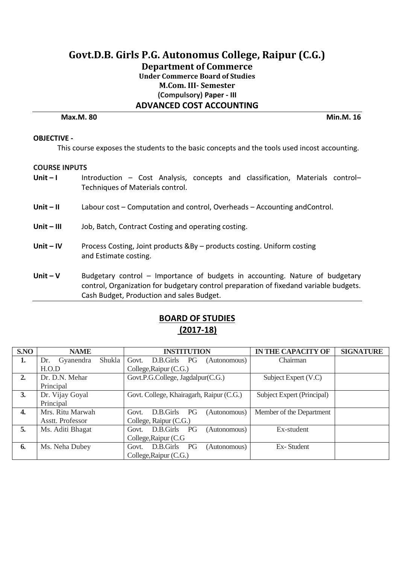# **Govt.D.B. Girls P.G. Autonomus College, Raipur (C.G.) Department of Commerce Under Commerce Board of Studies M.Com. III- Semester (Compulsory) Paper - III ADVANCED COST ACCOUNTING**

**Max.M. 80 Min.M. 16**

#### **OBJECTIVE -**

This course exposes the students to the basic concepts and the tools used incost accounting.

#### **COURSE INPUTS**

- Unit I lntroduction Cost Analysis, concepts and classification, Materials control– Techniques of Materials control.
- **Unit – II** Labour cost Computation and control, Overheads Accounting andControl.
- **Unit – III** Job, Batch, Contract Costing and operating costing.
- **Unit – IV** Process Costing, Joint products &By products costing. Uniform costing and Estimate costing.
- **Unit V** Budgetary control Importance of budgets in accounting. Nature of budgetary control, Organization for budgetary control preparation of fixedand variable budgets. Cash Budget, Production and sales Budget.

| S.NO | <b>NAME</b>                | <b>INSTITUTION</b>                       | <b>IN THE CAPACITY OF</b>  | <b>SIGNATURE</b> |
|------|----------------------------|------------------------------------------|----------------------------|------------------|
| 1.   | Shukla<br>Gyanendra<br>Dr. | Govt.<br>D.B.Girls PG<br>(Autonomous)    | Chairman                   |                  |
|      | H.O.D                      | College, Raipur (C.G.)                   |                            |                  |
| 2.   | Dr. D.N. Mehar             | Govt.P.G.College, Jagdalpur(C.G.)        | Subject Expert (V.C)       |                  |
|      | Principal                  |                                          |                            |                  |
| 3.   | Dr. Vijay Goyal            | Govt. College, Khairagarh, Raipur (C.G.) | Subject Expert (Principal) |                  |
|      | Principal                  |                                          |                            |                  |
| 4.   | Mrs. Ritu Marwah           | PG<br>D.B.Girls<br>Govt.<br>(Autonomous) | Member of the Department   |                  |
|      | Asstt. Professor           | College, Raipur (C.G.)                   |                            |                  |
| 5.   | Ms. Aditi Bhagat           | D.B.Girls PG<br>(Autonomous)<br>Govt.    | Ex-student                 |                  |
|      |                            | College, Raipur (C.G.                    |                            |                  |
| 6.   | Ms. Neha Dubey             | D.B.Girls PG<br>(Autonomous)<br>Govt.    | Ex-Student                 |                  |
|      |                            | College, Raipur (C.G.)                   |                            |                  |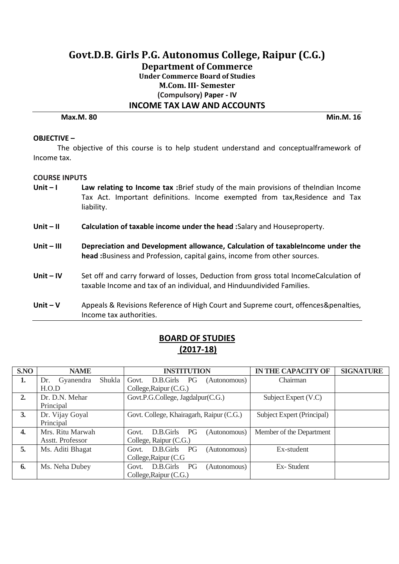# **Govt.D.B. Girls P.G. Autonomus College, Raipur (C.G.) Department of Commerce Under Commerce Board of Studies M.Com. III- Semester (Compulsory) Paper - IV INCOME TAX LAW AND ACCOUNTS**

**Max.M. 80 Min.M. 16**

#### **OBJECTIVE –**

The objective of this course is to help student understand and conceptualframework of Income tax.

#### **COURSE INPUTS**

- **Unit – I Law relating to Income tax :**Brief study of the main provisions of theIndian Income Tax Act. Important definitions. Income exempted from tax,Residence and Tax liability.
- **Unit – II Calculation of taxable income under the head :**Salary and Houseproperty.
- **Unit – III Depreciation and Development allowance, Calculation of taxableIncome under the head :**Business and Profession, capital gains, income from other sources.
- Unit IV Set off and carry forward of losses, Deduction from gross total IncomeCalculation of taxable Income and tax of an individual, and Hinduundivided Families.
- **Unit – V** Appeals & Revisions Reference of High Court and Supreme court, offences&penalties, Income tax authorities.

| S.NO             | <b>NAME</b>                | <b>INSTITUTION</b>                              | <b>IN THE CAPACITY OF</b>  | <b>SIGNATURE</b> |
|------------------|----------------------------|-------------------------------------------------|----------------------------|------------------|
| 1.               | Shukla<br>Gyanendra<br>Dr. | Govt.<br>D.B.Girls PG<br>(Autonomous)           | Chairman                   |                  |
|                  | H.O.D                      | College, Raipur (C.G.)                          |                            |                  |
| 2.               | Dr. D.N. Mehar             | Govt.P.G.College, Jagdalpur(C.G.)               | Subject Expert (V.C)       |                  |
|                  | Principal                  |                                                 |                            |                  |
| 3.               | Dr. Vijay Goyal            | Govt. College, Khairagarh, Raipur (C.G.)        | Subject Expert (Principal) |                  |
|                  | Principal                  |                                                 |                            |                  |
| $\overline{4}$ . | Mrs. Ritu Marwah           | PG<br>D.B.Girls<br>(Autonomous)<br>Govt.        | Member of the Department   |                  |
|                  | Asstt. Professor           | College, Raipur (C.G.)                          |                            |                  |
| 5.               | Ms. Aditi Bhagat           | D.B.Girls<br>PG<br>(Autonomous)<br>Govt.        | Ex-student                 |                  |
|                  |                            | College, Raipur (C.G.                           |                            |                  |
| 6.               | Ms. Neha Dubey             | D.B.Girls<br><b>PG</b><br>(Autonomous)<br>Govt. | Ex-Student                 |                  |
|                  |                            | College, Raipur (C.G.)                          |                            |                  |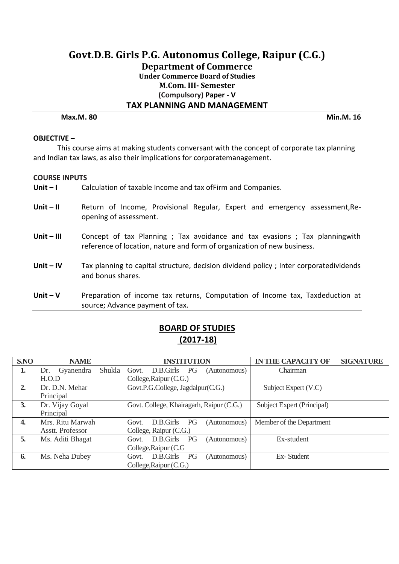# **Govt.D.B. Girls P.G. Autonomus College, Raipur (C.G.) Department of Commerce Under Commerce Board of Studies M.Com. III- Semester (Compulsory) Paper - V TAX PLANNING AND MANAGEMENT**

**Max.M. 80 Min.M. 16**

#### **OBJECTIVE –**

This course aims at making students conversant with the concept of corporate tax planning and Indian tax laws, as also their implications for corporatemanagement.

#### **COURSE INPUTS**

- **Unit I** Calculation of taxable Income and tax of Firm and Companies.
- Unit II **Return of Income, Provisional Regular, Expert and emergency assessment, Re**opening of assessment.
- **Unit – III** Concept of tax Planning ; Tax avoidance and tax evasions ; Tax planningwith reference of location, nature and form of organization of new business.
- Unit IV Tax planning to capital structure, decision dividend policy; Inter corporatedividends and bonus shares.
- Unit V **Preparation of income tax returns, Computation of Income tax, Taxdeduction at** source; Advance payment of tax.

| S.NO         | <b>NAME</b>                | <b>INSTITUTION</b>                              | <b>IN THE CAPACITY OF</b>  | <b>SIGNATURE</b> |
|--------------|----------------------------|-------------------------------------------------|----------------------------|------------------|
| 1.           | Shukla<br>Gyanendra<br>Dr. | Govt.<br>PG<br>D.B.Girls<br>(Autonomous)        | Chairman                   |                  |
|              | H.O.D                      | College, Raipur (C.G.)                          |                            |                  |
| 2.           | Dr. D.N. Mehar             | Govt.P.G.College, Jagdalpur(C.G.)               | Subject Expert (V.C)       |                  |
|              | Principal                  |                                                 |                            |                  |
| 3.           | Dr. Vijay Goyal            | Govt. College, Khairagarh, Raipur (C.G.)        | Subject Expert (Principal) |                  |
|              | Principal                  |                                                 |                            |                  |
| $\mathbf{4}$ | Mrs. Ritu Marwah           | PG<br>D.B.Girls<br>Govt.<br>(Autonomous)        | Member of the Department   |                  |
|              | Asstt. Professor           | College, Raipur (C.G.)                          |                            |                  |
| 5.           | Ms. Aditi Bhagat           | D.B.Girls<br><b>PG</b><br>(Autonomous)<br>Govt. | Ex-student                 |                  |
|              |                            | College, Raipur (C.G.                           |                            |                  |
| 6.           | Ms. Neha Dubey             | D.B.Girls<br>PG<br>Govt.<br>(Autonomous)        | Ex-Student                 |                  |
|              |                            | College, Raipur (C.G.)                          |                            |                  |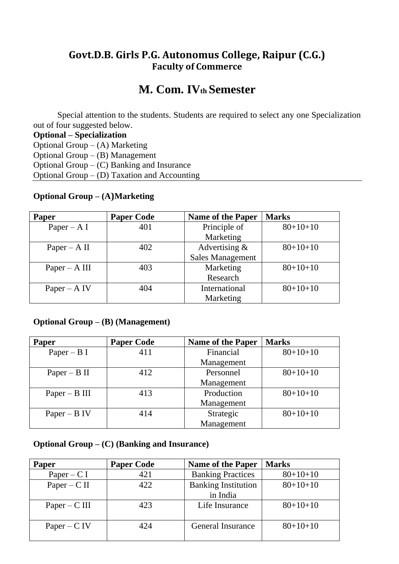# **Govt.D.B. Girls P.G. Autonomus College, Raipur (C.G.) Faculty of Commerce**

# **M. Com. IVth Semester**

Special attention to the students. Students are required to select any one Specialization out of four suggested below.

**Optional – Specialization** Optional Group –  $(A)$  Marketing Optional Group – (B) Management Optional Group –  $(C)$  Banking and Insurance Optional Group –  $(D)$  Taxation and Accounting

# **Optional Group – (A)Marketing**

| <b>Paper</b>    | <b>Paper Code</b> | <b>Name of the Paper</b> | <b>Marks</b> |
|-----------------|-------------------|--------------------------|--------------|
| Paper – A I     | 401               | Principle of             | $80+10+10$   |
|                 |                   | Marketing                |              |
| Paper – A II    | 402               | Advertising $\&$         | $80+10+10$   |
|                 |                   | <b>Sales Management</b>  |              |
| $Paper - A III$ | 403               | Marketing                | $80+10+10$   |
|                 |                   | Research                 |              |
| $Paper - A IV$  | 404               | International            | $80+10+10$   |
|                 |                   | Marketing                |              |

# **Optional Group – (B) (Management)**

| <b>Paper</b>    | <b>Paper Code</b> | <b>Name of the Paper</b> | <b>Marks</b> |
|-----------------|-------------------|--------------------------|--------------|
| Paper – B I     | 411               | Financial                | $80+10+10$   |
|                 |                   | Management               |              |
| Paper $- B II$  | 412               | Personnel                | $80+10+10$   |
|                 |                   | Management               |              |
| $Paper - B III$ | 413               | Production               | $80+10+10$   |
|                 |                   | Management               |              |
| Paper – $B IV$  | 414               | Strategic                | $80+10+10$   |
|                 |                   | Management               |              |

# **Optional Group – (C) (Banking and Insurance)**

| <b>Paper</b>    | <b>Paper Code</b> | <b>Name of the Paper</b>   | <b>Marks</b> |
|-----------------|-------------------|----------------------------|--------------|
| Paper – $C I$   | 421               | <b>Banking Practices</b>   | $80+10+10$   |
| $Paper - C II$  | 422               | <b>Banking Institution</b> | $80+10+10$   |
|                 |                   | in India                   |              |
| $Paper - C III$ | 423               | Life Insurance             | $80+10+10$   |
|                 |                   |                            |              |
| $Paper - C IV$  | 424               | <b>General Insurance</b>   | $80+10+10$   |
|                 |                   |                            |              |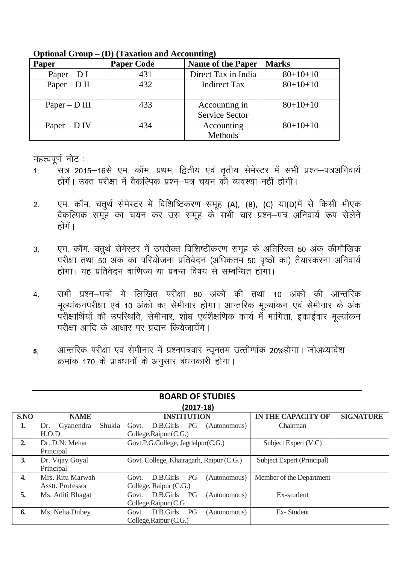| Opuvillu Olvup<br>$\bm{\nu}$ , a distributed and recogniting, |                   |                                        |              |
|---------------------------------------------------------------|-------------------|----------------------------------------|--------------|
| Paper                                                         | <b>Paper Code</b> | <b>Name of the Paper</b>               | <b>Marks</b> |
| Paper – $D I$                                                 | 431               | Direct Tax in India                    | $80+10+10$   |
| $Paper - D II$                                                | 432               | <b>Indirect Tax</b>                    | $80+10+10$   |
| $Paper - D III$                                               | 433               | Accounting in<br><b>Service Sector</b> | $80+10+10$   |
| Paper – $D IV$                                                | 434               | Accounting<br>Methods                  | $80+10+10$   |

**Optional Group – (D) (Taxation and Accounting)**

महत्वपूर्ण नोट:

- 1. सत्र 2015–16से एम. कॉम. प्रथम, द्वितीय एवं तृतीय सेमेस्टर में सभी प्रश्न–पत्रअनिवार्य होंगें। उक्त परीक्षा में वैकल्पिक प्रश्न–पत्र चयन की व्यवस्था नहीं होगी।
- 2. पम. कॉम. चतुर्थ सेमेस्टर में विशिष्टिकरण समूह (A), (B), (C) या(D)में से किसी भीएक वेकल्पिक समूह का चयन कर उस समूह के सभी चार प्रश्न–पत्र अनिवार्य रूप सेलेने होंगें ।
- 3. एम. कॉम. चतुर्थ सेमेस्टर में उपरोक्त विशिष्टीकरण समूह के अतिरिक्त 50 अंक कीमौखिक परीक्षा तथा 50 अंक का परियोजना प्रतिवेदन (अधिकतम 50 पृष्ठों का) तैयारकरना अनिवार्य होगा। यह प्रतिवेदन वाणिज्य या प्रबन्ध विषय से सम्बन्धित होगा।
- 4. सभी प्रश्न–पत्रों में लिखित परीक्षा 80 अंकों की तथा 10 अंकों की आन्तरिक मुल्यांकनपरीक्षा एवं 10 अंको का सेमीनार होगा। आन्तरिक मूल्यांकन एवं सेमीनार के अंक परीक्षार्थियों की उपस्थिति, सेमीनार, शोध एवंशैक्षणिक कार्य में भागिता, इकाईवार मूल्यांकन परीक्षा आदि के आधार पर प्रदान कियेजायेंगे।
- 5. आन्तरिक परीक्षा एवं सेमीनार में प्रश्नपत्रवार न्यूनतम उत्तीर्णांक 20%होगा। जोअध्यादेश क्रमांक 170 के प्रावधानों के अनुसार बंधनकारी होगा।

| 12017-101 |                            |                                          |                            |                  |
|-----------|----------------------------|------------------------------------------|----------------------------|------------------|
| S.NO      | <b>NAME</b>                | <b>INSTITUTION</b>                       | <b>IN THE CAPACITY OF</b>  | <b>SIGNATURE</b> |
| 1.        | Shukla<br>Gyanendra<br>Dr. | D.B.Girls PG<br>Govt.<br>(Autonomous)    | Chairman                   |                  |
|           | H.O.D                      | College, Raipur (C.G.)                   |                            |                  |
| 2.        | Dr. D.N. Mehar             | Govt.P.G.College, Jagdalpur(C.G.)        | Subject Expert (V.C)       |                  |
|           | Principal                  |                                          |                            |                  |
| 3.        | Dr. Vijay Goyal            | Govt. College, Khairagarh, Raipur (C.G.) | Subject Expert (Principal) |                  |
|           | Principal                  |                                          |                            |                  |
| 4.        | Mrs. Ritu Marwah           | PG<br>D.B.Girls<br>(Autonomous)<br>Govt. | Member of the Department   |                  |
|           | Asstt. Professor           | College, Raipur (C.G.)                   |                            |                  |
| 5.        | Ms. Aditi Bhagat           | D.B.Girls<br>PG<br>(Autonomous)<br>Govt. | Ex-student                 |                  |
|           |                            | College, Raipur (C.G.                    |                            |                  |
| 6.        | Ms. Neha Dubey             | D.B.Girls<br>PG<br>Govt.<br>(Autonomous) | Ex-Student                 |                  |
|           |                            | College, Raipur (C.G.)                   |                            |                  |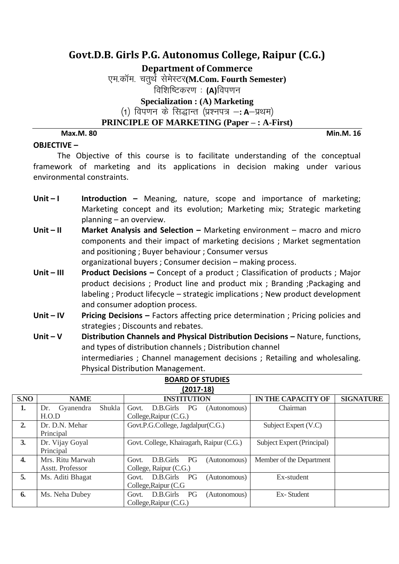**Department of Commerce**

एम.कॉम. चतुर्थ सेमेस्टर(M.Com. Fourth Semester) विशिष्टिकरण : **(A)**विपणन **Specialization : (A) Marketing** (1) विपणन के सिद्धान्त (प्रश्नपत्र –**: A**–प्रथम)

**PRINCIPLE OF MARKETING (Paper – : A-First)**

### **Max.M. 80 Min.M. 16**

## **OBJECTIVE –**

The Objective of this course is to facilitate understanding of the conceptual framework of marketing and its applications in decision making under various environmental constraints.

- Unit I **Introduction** Meaning, nature, scope and importance of marketing; Marketing concept and its evolution; Marketing mix; Strategic marketing planning – an overview.
- **Unit – II Market Analysis and Selection –** Marketing environment macro and micro components and their impact of marketing decisions ; Market segmentation and positioning ; Buyer behaviour ; Consumer versus organizational buyers ; Consumer decision – making process.
- **Unit III Product Decisions –** Concept of a product ; Classification of products ; Major product decisions ; Product line and product mix ; Branding ;Packaging and labeling ; Product lifecycle – strategic implications ; New product development and consumer adoption process.
- **Unit – IV Pricing Decisions –** Factors affecting price determination ; Pricing policies and strategies ; Discounts and rebates.
- **Unit V** Distribution Channels and Physical Distribution Decisions Nature, functions, and types of distribution channels ; Distribution channel intermediaries ; Channel management decisions ; Retailing and wholesaling. Physical Distribution Management.

|      | $\sim$ $\sim$ $\sim$       |                                          |                            |                  |
|------|----------------------------|------------------------------------------|----------------------------|------------------|
| S.NO | <b>NAME</b>                | <b>INSTITUTION</b>                       | <b>IN THE CAPACITY OF</b>  | <b>SIGNATURE</b> |
| 1.   | Shukla<br>Gyanendra<br>Dr. | D.B.Girls PG<br>Govt.<br>(Autonomous)    | Chairman                   |                  |
|      | H.O.D                      | College, Raipur (C.G.)                   |                            |                  |
| 2.   | Dr. D.N. Mehar             | Govt.P.G.College, Jagdalpur(C.G.)        | Subject Expert (V.C)       |                  |
|      | Principal                  |                                          |                            |                  |
| 3.   | Dr. Vijay Goyal            | Govt. College, Khairagarh, Raipur (C.G.) | Subject Expert (Principal) |                  |
|      | Principal                  |                                          |                            |                  |
| 4.   | Mrs. Ritu Marwah           | D.B.Girls PG<br>(Autonomous)<br>Govt.    | Member of the Department   |                  |
|      | Asstt. Professor           | College, Raipur (C.G.)                   |                            |                  |
| 5.   | Ms. Aditi Bhagat           | D.B.Girls<br>PG<br>(Autonomous)<br>Govt. | Ex-student                 |                  |
|      |                            | College, Raipur (C.G.                    |                            |                  |
| 6.   | Ms. Neha Dubey             | D.B.Girls PG<br>(Autonomous)<br>Govt.    | Ex-Student                 |                  |
|      |                            | College, Raipur (C.G.)                   |                            |                  |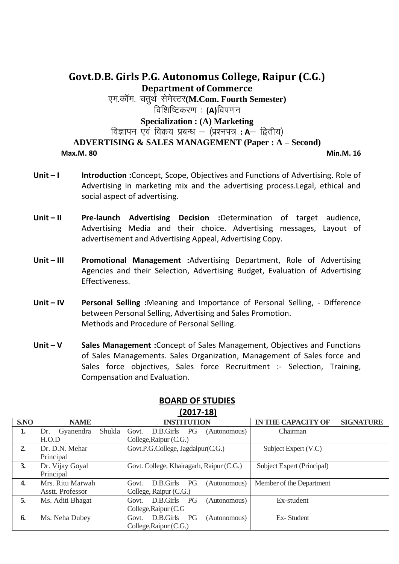# **Govt.D.B. Girls P.G. Autonomus College, Raipur (C.G.) Department of Commerce**

एम.कॉम. चतर्थ सेमेस्टर(M**.Com. Fourth Semester**)

विशिष्टिकरण : **(A)**विपणन

**Specialization : (A) Marketing**

विज्ञापन एवं विक्रय प्रबन्ध – (प्रश्नपत्र **: A**— द्वितीय)

## **ADVERTISING & SALES MANAGEMENT (Paper : A – Second)**

#### **Max.M. 80 Min.M. 16**

- Unit I **Introduction:**Concept, Scope, Objectives and Functions of Advertising. Role of Advertising in marketing mix and the advertising process.Legal, ethical and social aspect of advertising.
- **Unit – II Pre-launch Advertising Decision :**Determination of target audience, Advertising Media and their choice. Advertising messages, Layout of advertisement and Advertising Appeal, Advertising Copy.
- **Unit – III Promotional Management :**Advertising Department, Role of Advertising Agencies and their Selection, Advertising Budget, Evaluation of Advertising Effectiveness.
- **Unit – IV Personal Selling :**Meaning and Importance of Personal Selling, Difference between Personal Selling, Advertising and Sales Promotion. Methods and Procedure of Personal Selling.
- **Unit – V Sales Management :**Concept of Sales Management, Objectives and Functions of Sales Managements. Sales Organization, Management of Sales force and Sales force objectives, Sales force Recruitment :- Selection, Training, Compensation and Evaluation.

| וב-זיבטגן          |                            |                                                 |                            |                  |
|--------------------|----------------------------|-------------------------------------------------|----------------------------|------------------|
| S.NO               | <b>NAME</b>                | <b>INSTITUTION</b>                              | <b>IN THE CAPACITY OF</b>  | <b>SIGNATURE</b> |
| 1.                 | Shukla<br>Gyanendra<br>Dr. | D.B.Girls<br>Govt.<br><b>PG</b><br>(Autonomous) | Chairman                   |                  |
|                    | H.O.D                      | College, Raipur (C.G.)                          |                            |                  |
| 2.                 | Dr. D.N. Mehar             | Govt.P.G.College, Jagdalpur(C.G.)               | Subject Expert (V.C)       |                  |
|                    | Principal                  |                                                 |                            |                  |
| 3.                 | Dr. Vijay Goyal            | Govt. College, Khairagarh, Raipur (C.G.)        | Subject Expert (Principal) |                  |
|                    | Principal                  |                                                 |                            |                  |
| $\boldsymbol{4}$ . | Mrs. Ritu Marwah           | D.B.Girls<br>PG<br>(Autonomous)<br>Govt.        | Member of the Department   |                  |
|                    | Asstt. Professor           | College, Raipur (C.G.)                          |                            |                  |
| 5.                 | Ms. Aditi Bhagat           | D.B.Girls PG<br>(Autonomous)<br>Govt.           | Ex-student                 |                  |
|                    |                            | College, Raipur (C.G.                           |                            |                  |
| 6.                 | Ms. Neha Dubey             | D.B.Girls<br>PG<br>(Autonomous)<br>Govt.        | Ex-Student                 |                  |
|                    |                            | College, Raipur (C.G.)                          |                            |                  |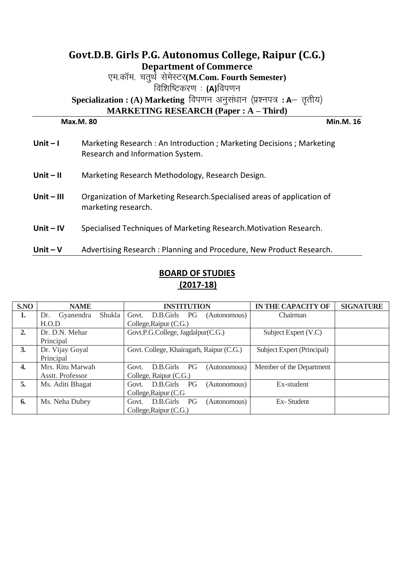| Govt.D.B. Girls P.G. Autonomus College, Raipur (C.G.) |                                                                                                            |  |  |  |  |
|-------------------------------------------------------|------------------------------------------------------------------------------------------------------------|--|--|--|--|
|                                                       | <b>Department of Commerce</b>                                                                              |  |  |  |  |
|                                                       | एम.कॉम. चतुर्थे सेमेस्टर(M.Com. Fourth Semester)                                                           |  |  |  |  |
|                                                       | विशिष्टिकरण : (A)विपणन                                                                                     |  |  |  |  |
|                                                       | Specialization : (A) Marketing विपणन अनुसंधान (प्रश्नपत्र: A- तृतीय)                                       |  |  |  |  |
|                                                       | <b>MARKETING RESEARCH (Paper : A – Third)</b>                                                              |  |  |  |  |
|                                                       | <b>Min.M. 16</b><br>Max.M. 80                                                                              |  |  |  |  |
| Unit $-1$                                             | Marketing Research : An Introduction ; Marketing Decisions ; Marketing<br>Research and Information System. |  |  |  |  |
| $Unit - II$                                           | Marketing Research Methodology, Research Design.                                                           |  |  |  |  |
| $Unit - III$                                          | Organization of Marketing Research. Specialised areas of application of<br>marketing research.             |  |  |  |  |
| Unit $-$ IV                                           | Specialised Techniques of Marketing Research. Motivation Research.                                         |  |  |  |  |
| Unit $-V$                                             | Advertising Research: Planning and Procedure, New Product Research.                                        |  |  |  |  |

| <b>BOARD OF STUDIES</b> |
|-------------------------|
| $(2017-18)$             |

| S.NO | <b>NAME</b>                | <b>INSTITUTION</b>                       | <b>IN THE CAPACITY OF</b><br><b>SIGNATURE</b> |
|------|----------------------------|------------------------------------------|-----------------------------------------------|
| 1.   | Shukla<br>Gyanendra<br>Dr. | D.B.Girls PG<br>Govt.<br>(Autonomous)    | Chairman                                      |
|      | H.O.D                      | College, Raipur (C.G.)                   |                                               |
| 2.   | Dr. D.N. Mehar             | Govt.P.G.College, Jagdalpur(C.G.)        | Subject Expert (V.C)                          |
|      | Principal                  |                                          |                                               |
| 3.   | Dr. Vijay Goyal            | Govt. College, Khairagarh, Raipur (C.G.) | Subject Expert (Principal)                    |
|      | Principal                  |                                          |                                               |
| 4.   | Mrs. Ritu Marwah           | D.B.Girls<br>PG<br>(Autonomous)<br>Govt. | Member of the Department                      |
|      | Asstt. Professor           | College, Raipur (C.G.)                   |                                               |
| 5.   | Ms. Aditi Bhagat           | D.B.Girls<br>PG<br>(Autonomous)<br>Govt. | Ex-student                                    |
|      |                            | College, Raipur (C.G.                    |                                               |
| 6.   | Ms. Neha Dubey             | D.B.Girls<br>PG<br>(Autonomous)<br>Govt. | Ex-Student                                    |
|      |                            | College, Raipur (C.G.)                   |                                               |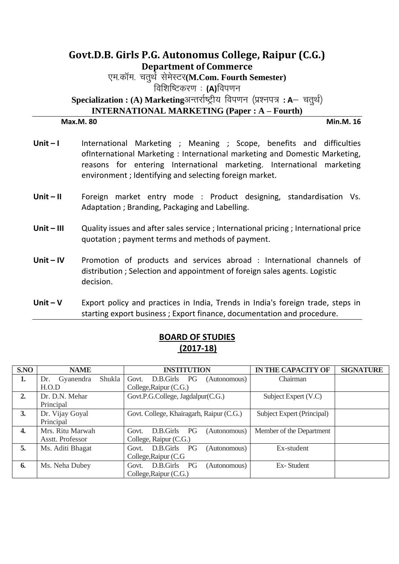# **Govt.D.B. Girls P.G. Autonomus College, Raipur (C.G.) Department of Commerce** एम.कॉम. चतर्थ सेमेस्टर(M.Com. Fourth Semester) विशिष्टिकरण: (A)विपणन Specialization : (A) Marketingअन्तर्राष्ट्रीय विपणन (प्रश्नपत्र: A- चतर्थ) **INTERNATIONAL MARKETING (Paper : A – Fourth)**

### **Max.M. 80 Min.M. 16**

- Unit I **International Marketing** ; Meaning ; Scope, benefits and difficulties ofInternational Marketing : International marketing and Domestic Marketing, reasons for entering International marketing. International marketing environment ; Identifying and selecting foreign market.
- Unit II Foreign market entry mode : Product designing, standardisation Vs. Adaptation ; Branding, Packaging and Labelling.
- **Unit – III** Quality issues and after sales service ; International pricing ; International price quotation ; payment terms and methods of payment.
- **Unit IV** Promotion of products and services abroad : International channels of distribution ; Selection and appointment of foreign sales agents. Logistic decision.
- **Unit V** Export policy and practices in India, Trends in India's foreign trade, steps in starting export business ; Export finance, documentation and procedure.

| <b>BOARD OF STUDIES</b> |
|-------------------------|
| $(2017-18)$             |

| S.NO         | <b>NAME</b>                  | <b>INSTITUTION</b>                              | <b>IN THE CAPACITY OF</b>  | <b>SIGNATURE</b> |
|--------------|------------------------------|-------------------------------------------------|----------------------------|------------------|
| 1.           | Shukla  <br>Gyanendra<br>Dr. | Govt.<br>D.B.Girls<br><b>PG</b><br>(Autonomous) | Chairman                   |                  |
|              | H.O.D                        | College, Raipur (C.G.)                          |                            |                  |
| 2.           | Dr. D.N. Mehar               | Govt.P.G.College, Jagdalpur(C.G.)               | Subject Expert (V.C)       |                  |
|              | Principal                    |                                                 |                            |                  |
| 3.           | Dr. Vijay Goyal              | Govt. College, Khairagarh, Raipur (C.G.)        | Subject Expert (Principal) |                  |
|              | Principal                    |                                                 |                            |                  |
| $\mathbf{4}$ | Mrs. Ritu Marwah             | PG<br>D.B.Girls<br>Govt.<br>(Autonomous)        | Member of the Department   |                  |
|              | Asstt. Professor             | College, Raipur (C.G.)                          |                            |                  |
| 5.           | Ms. Aditi Bhagat             | D.B.Girls<br>PG<br>(Autonomous)<br>Govt.        | Ex-student                 |                  |
|              |                              | College, Raipur (C.G.                           |                            |                  |
| 6.           | Ms. Neha Dubey               | D.B.Girls<br>PG<br>Govt.<br>(Autonomous)        | Ex-Student                 |                  |
|              |                              | College, Raipur (C.G.)                          |                            |                  |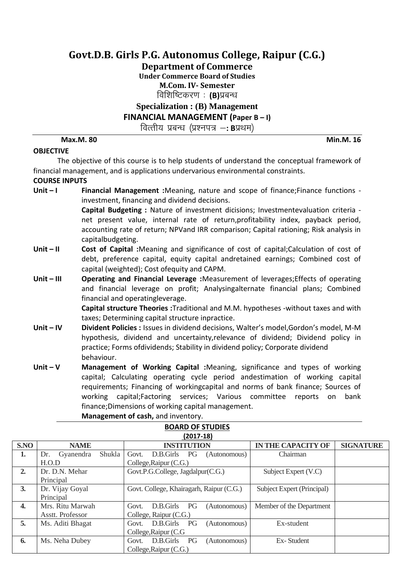**Department of Commerce**

**Under Commerce Board of Studies**

**M.Com. IV- Semester**

विशिष्टिकरण : (B)प्रबन्ध

## **Specialization : (B) Management**

**FINANCIAL MANAGEMENT (Paper B – I)**

वित्तीय प्रबन्ध (प्रश्नपत्र -: Bप्रथम)

**Max.M. 80 Min.M. 16**

## **OBJECTIVE**

The objective of this course is to help students of understand the conceptual framework of financial management, and is applications undervarious environmental constraints.

### **COURSE INPUTS**

**Unit – I Financial Management :**Meaning, nature and scope of finance;Finance functions investment, financing and dividend decisions.

> **Capital Budgeting :** Nature of investment dicisions; Investmentevaluation criteria net present value, internal rate of return,profitability index, payback period, accounting rate of return; NPVand IRR comparison; Capital rationing; Risk analysis in capitalbudgeting.

- **Unit – II Cost of Capital :**Meaning and significance of cost of capital;Calculation of cost of debt, preference capital, equity capital andretained earnings; Combined cost of capital (weighted); Cost ofequity and CAPM.
- **Unit – III Operating and Financial Leverage :**Measurement of leverages;Effects of operating and financial leverage on profit; Analysingalternate financial plans; Combined financial and operatingleverage.

**Capital structure Theories :**Traditional and M.M. hypotheses -without taxes and with taxes; Determining capital structure inpractice.

- **Unit – IV Divident Policies :** Issues in dividend decisions, Walter's model,Gordon's model, M-M hypothesis, dividend and uncertainty,relevance of dividend; Dividend policy in practice; Forms ofdividends; Stability in dividend policy; Corporate dividend behaviour.
- **Unit – V Management of Working Capital :**Meaning, significance and types of working capital; Calculating operating cycle period andestimation of working capital requirements; Financing of workingcapital and norms of bank finance; Sources of working capital;Factoring services; Various committee reports on bank finance;Dimensions of working capital management.

**BOARD OF STUDIES**

**Management of cash,** and inventory.

| $(2017-18)$      |                                   |                                          |                                               |  |
|------------------|-----------------------------------|------------------------------------------|-----------------------------------------------|--|
| S.NO             | <b>NAME</b>                       | <b>INSTITUTION</b>                       | <b>IN THE CAPACITY OF</b><br><b>SIGNATURE</b> |  |
| 1.               | <b>Shukla</b><br>Gyanendra<br>Dr. | D.B.Girls<br>Govt.<br>PG<br>(Autonomous) | Chairman                                      |  |
|                  | H.O.D                             | College, Raipur (C.G.)                   |                                               |  |
| 2.               | Dr. D.N. Mehar                    | Govt.P.G.College, Jagdalpur(C.G.)        | Subject Expert (V.C)                          |  |
|                  | Principal                         |                                          |                                               |  |
| 3.               | Dr. Vijay Goyal                   | Govt. College, Khairagarh, Raipur (C.G.) | Subject Expert (Principal)                    |  |
|                  | Principal                         |                                          |                                               |  |
| $\overline{4}$ . | Mrs. Ritu Marwah                  | PG<br>D.B.Girls<br>Govt.<br>(Autonomous) | Member of the Department                      |  |
|                  | Asstt. Professor                  | College, Raipur (C.G.)                   |                                               |  |
| 5.               | Ms. Aditi Bhagat                  | D.B.Girls<br>PG<br>(Autonomous)<br>Govt. | Ex-student                                    |  |
|                  |                                   | College, Raipur (C.G.                    |                                               |  |
| 6.               | Ms. Neha Dubey                    | D.B.Girls<br>PG<br>(Autonomous)<br>Govt. | Ex-Student                                    |  |
|                  |                                   | College, Raipur (C.G.)                   |                                               |  |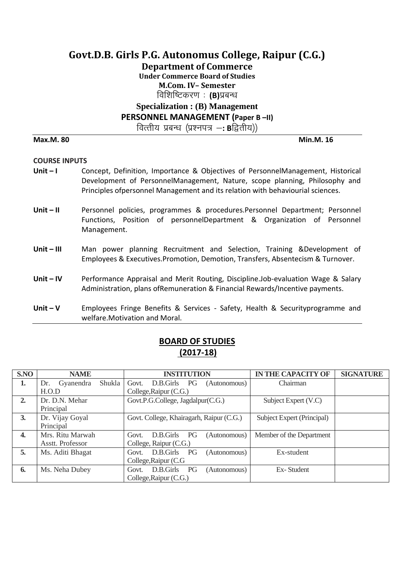**Department of Commerce**

**Under Commerce Board of Studies**

**M.Com. IV– Semester**

विशिष्टिकरण : **(B)**प्रबन्ध

# **Specialization : (B) Management**

**PERSONNEL MANAGEMENT (Paper B –II)**

वित्तीय प्रबन्ध (प्रश्नपत्र —**: B**द्वितीय))

#### **Max.M. 80 Min.M. 16**

# **COURSE INPUTS**

- **Unit – I** Concept, Definition, Importance & Objectives of PersonnelManagement, Historical Development of PersonnelManagement, Nature, scope planning, Philosophy and Principles ofpersonnel Management and its relation with behaviourial sciences.
- **Unit – II** Personnel policies, programmes & procedures.Personnel Department; Personnel Functions, Position of personnelDepartment & Organization of Personnel Management.
- Unit III Man power planning Recruitment and Selection, Training &Development of Employees & Executives.Promotion, Demotion, Transfers, Absentecism & Turnover.
- **Unit – IV** Performance Appraisal and Merit Routing, Discipline.Job-evaluation Wage & Salary Administration, plans ofRemuneration & Financial Rewards/Incentive payments.
- **Unit – V** Employees Fringe Benefits & Services Safety, Health & Securityprogramme and welfare.Motivation and Moral.

| S.NO | <b>NAME</b>                | <b>INSTITUTION</b>                              | <b>IN THE CAPACITY OF</b>  | <b>SIGNATURE</b> |
|------|----------------------------|-------------------------------------------------|----------------------------|------------------|
| 1.   | Shukla<br>Gyanendra<br>Dr. | D.B.Girls PG<br>Govt.<br>(Autonomous)           | Chairman                   |                  |
|      | H.O.D                      | College, Raipur (C.G.)                          |                            |                  |
| 2.   | Dr. D.N. Mehar             | Govt.P.G.College, Jagdalpur(C.G.)               | Subject Expert (V.C)       |                  |
|      | Principal                  |                                                 |                            |                  |
| 3.   | Dr. Vijay Goyal            | Govt. College, Khairagarh, Raipur (C.G.)        | Subject Expert (Principal) |                  |
|      | Principal                  |                                                 |                            |                  |
| 4.   | Mrs. Ritu Marwah           | D.B.Girls<br>PG<br>(Autonomous)<br>Govt.        | Member of the Department   |                  |
|      | Asstt. Professor           | College, Raipur (C.G.)                          |                            |                  |
| 5.   | Ms. Aditi Bhagat           | D.B.Girls<br>PG<br>(Autonomous)<br>Govt.        | Ex-student                 |                  |
|      |                            | College, Raipur (C.G.                           |                            |                  |
| 6.   | Ms. Neha Dubey             | D.B.Girls<br><b>PG</b><br>(Autonomous)<br>Govt. | Ex-Student                 |                  |
|      |                            | College, Raipur (C.G.)                          |                            |                  |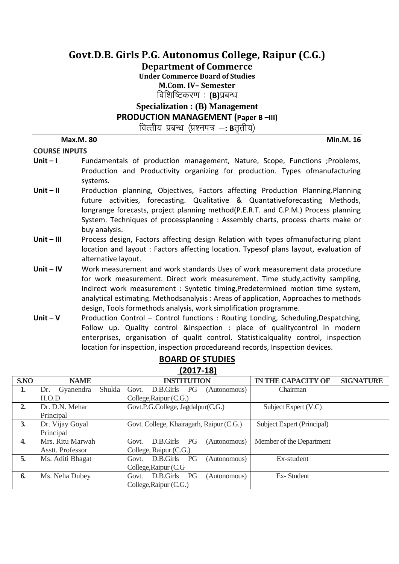**Department of Commerce**

**Under Commerce Board of Studies**

**M.Com. IV– Semester**

विशिष्टिकरण : **(B)**प्रबन्ध

**Specialization : (B) Management** 

**PRODUCTION MANAGEMENT (Paper B –III)**

वित्तीय प्रबन्ध (प्रश्नपत्र —**: B**त्तृतीय)

**COURSE INPUTS**

# **Unit – I** Fundamentals of production management, Nature, Scope, Functions ;Problems, Production and Productivity organizing for production. Types ofmanufacturing systems.

- Unit II **Production planning, Objectives, Factors affecting Production Planning.Planning** future activities, forecasting. Qualitative & Quantativeforecasting Methods, longrange forecasts, project planning method(P.E.R.T. and C.P.M.) Process planning System. Techniques of processplanning : Assembly charts, process charts make or buy analysis.
- Unit III Process design, Factors affecting design Relation with types ofmanufacturing plant location and layout : Factors affecting location. Typesof plans layout, evaluation of alternative layout.
- **Unit – IV** Work measurement and work standards Uses of work measurement data procedure for work measurement. Direct work measurement. Time study,activity sampling, Indirect work measurement : Syntetic timing,Predetermined motion time system, analytical estimating. Methodsanalysis : Areas of application, Approaches to methods design, Tools formethods analysis, work simplification programme.
- Unit V Production Control Control functions: Routing Londing, Scheduling, Despatching, Follow up. Quality control &inspection : place of qualitycontrol in modern enterprises, organisation of qualit control. Statisticalquality control, inspection location for inspection, inspection procedureand records, Inspection devices.

| 12017-101        |                            |                                          |                            |                  |
|------------------|----------------------------|------------------------------------------|----------------------------|------------------|
| S.NO             | <b>NAME</b>                | <b>INSTITUTION</b>                       | <b>IN THE CAPACITY OF</b>  | <b>SIGNATURE</b> |
| 1.               | Shukla<br>Gyanendra<br>Dr. | Govt.<br>D.B.Girls PG<br>(Autonomous)    | Chairman                   |                  |
|                  | H.O.D                      | College, Raipur (C.G.)                   |                            |                  |
| 2.               | Dr. D.N. Mehar             | Govt.P.G.College, Jagdalpur(C.G.)        | Subject Expert (V.C)       |                  |
|                  | Principal                  |                                          |                            |                  |
| 3.               | Dr. Vijay Goyal            | Govt. College, Khairagarh, Raipur (C.G.) | Subject Expert (Principal) |                  |
|                  | Principal                  |                                          |                            |                  |
| $\overline{4}$ . | Mrs. Ritu Marwah           | PG<br>D.B.Girls<br>(Autonomous)<br>Govt. | Member of the Department   |                  |
|                  | Asstt. Professor           | College, Raipur (C.G.)                   |                            |                  |
| 5.               | Ms. Aditi Bhagat           | D.B.Girls PG<br>(Autonomous)<br>Govt.    | Ex-student                 |                  |
|                  |                            | College, Raipur (C.G.                    |                            |                  |
| 6.               | Ms. Neha Dubey             | D.B.Girls<br>PG<br>(Autonomous)<br>Govt. | Ex-Student                 |                  |
|                  |                            | College, Raipur (C.G.)                   |                            |                  |

## **BOARD OF STUDIES (2017-18)**

**Max.M. 80 Min.M. 16**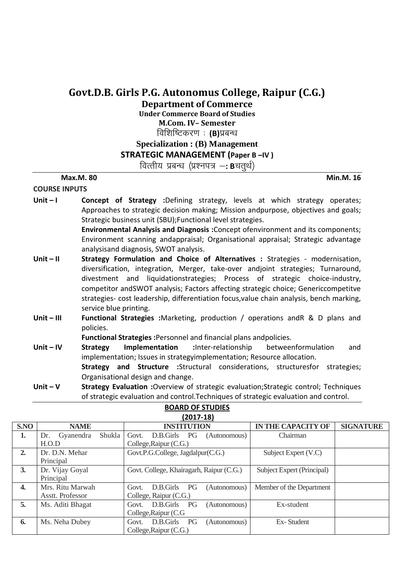**Department of Commerce**

**Under Commerce Board of Studies M.Com. IV– Semester**

**विशिष्टिकरण : (B)**प्रबन्ध

# **Specialization : (B) Management**

**STRATEGIC MANAGEMENT (Paper B –IV )**

वित्तीय प्रबन्ध (प्रश्नपत्र –**: B**चतर्थ)

**Max.M. 80 Min.M. 16**

## **COURSE INPUTS**

**Unit – I Concept of Strategy** :Defining strategy, levels at which strategy operates; Approaches to strategic decision making; Mission andpurpose, objectives and goals; Strategic business unit (SBU);Functional level strategies.

**Environmental Analysis and Diagnosis :**Concept ofenvironment and its components; Environment scanning andappraisal; Organisational appraisal; Strategic advantage analysisand diagnosis, SWOT analysis.

- Unit II Strategy Formulation and Choice of Alternatives : Strategies modernisation, diversification, integration, Merger, take-over andjoint strategies; Turnaround, divestment and liquidationstrategies; Process of strategic choice-industry, competitor andSWOT analysis; Factors affecting strategic choice; Genericcompetitve strategies- cost leadership, differentiation focus,value chain analysis, bench marking, service blue printing.
- **Unit – III Functional Strategies :**Marketing, production / operations andR & D plans and policies.

**Functional Strategies :**Personnel and financial plans andpolicies.

- **Unit – IV Strategy Implementation :**Inter-relationship betweenformulation and implementation; Issues in strategyimplementation; Resource allocation. **Strategy and Structure :**Structural considerations, structuresfor strategies; Organisational design and change.
- **Unit – V Strategy Evaluation :**Overview of strategic evaluation;Strategic control; Techniques of strategic evaluation and control.Techniques of strategic evaluation and control.

| (2017-18)        |                            |                                                 |                            |                  |
|------------------|----------------------------|-------------------------------------------------|----------------------------|------------------|
| S.NO             | <b>NAME</b>                | <b>INSTITUTION</b>                              | <b>IN THE CAPACITY OF</b>  | <b>SIGNATURE</b> |
| 1.               | Shukla<br>Gyanendra<br>Dr. | D.B.Girls PG<br>Govt.<br>(Autonomous)           | Chairman                   |                  |
|                  | H.O.D                      | College, Raipur (C.G.)                          |                            |                  |
| 2.               | Dr. D.N. Mehar             | Govt.P.G.College, Jagdalpur(C.G.)               | Subject Expert (V.C)       |                  |
|                  | Principal                  |                                                 |                            |                  |
| 3.               | Dr. Vijay Goyal            | Govt. College, Khairagarh, Raipur (C.G.)        | Subject Expert (Principal) |                  |
|                  | Principal                  |                                                 |                            |                  |
| $\overline{4}$ . | Mrs. Ritu Marwah           | <b>PG</b><br>D.B.Girls<br>(Autonomous)<br>Govt. | Member of the Department   |                  |
|                  | Asstt. Professor           | College, Raipur (C.G.)                          |                            |                  |
| 5.               | Ms. Aditi Bhagat           | D.B.Girls PG<br>Govt.<br>(Autonomous)           | Ex-student                 |                  |
|                  |                            | College, Raipur (C.G.                           |                            |                  |
| 6.               | Ms. Neha Dubey             | D.B.Girls<br>PG<br>(Autonomous)<br>Govt.        | Ex-Student                 |                  |
|                  |                            | College, Raipur (C.G.)                          |                            |                  |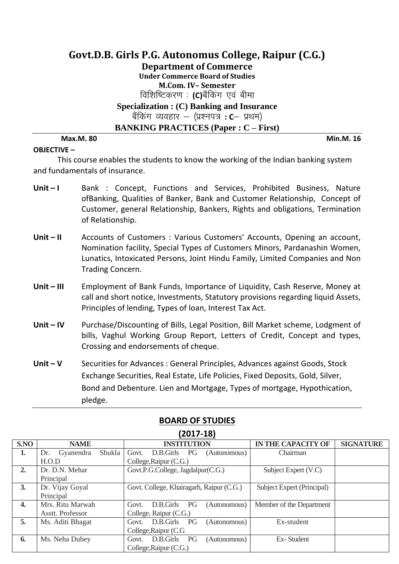# **Govt.D.B. Girls P.G. Autonomus College, Raipur (C.G.) Department of Commerce Under Commerce Board of Studies M.Com. IV– Semester** विशिष्टिकरण : **(C)**बैंकिंग एवं बीमा **Specialization : (C) Banking and Insurance** बैंकिंग व्यवहार – (प्रश्नपत्र **: C**— प्रथम) **BANKING PRACTICES (Paper : C – First)**

**OBJECTIVE –**

**Max.M. 80 Min.M. 16**

This course enables the students to know the working of the Indian banking system and fundamentals of insurance.

- Unit I Bank : Concept, Functions and Services, Prohibited Business, Nature ofBanking, Qualities of Banker, Bank and Customer Relationship, Concept of Customer, general Relationship, Bankers, Rights and obligations, Termination of Relationship.
- Unit II Accounts of Customers : Various Customers' Accounts, Opening an account, Nomination facility, Special Types of Customers Minors, Pardanashin Women, Lunatics, Intoxicated Persons, Joint Hindu Family, Limited Companies and Non Trading Concern.
- **Unit – III** Employment of Bank Funds, Importance of Liquidity, Cash Reserve, Money at call and short notice, Investments, Statutory provisions regarding liquid Assets, Principles of lending, Types of loan, Interest Tax Act.
- **Unit IV** Purchase/Discounting of Bills, Legal Position, Bill Market scheme, Lodgment of bills, Vaghul Working Group Report, Letters of Credit, Concept and types, Crossing and endorsements of cheque.
- **Unit – V** Securities for Advances : General Principles, Advances against Goods, Stock Exchange Securities, Real Estate, Life Policies, Fixed Deposits, Gold, Silver, Bond and Debenture. Lien and Mortgage, Types of mortgage, Hypothication, pledge.

| S.NO         | <b>NAME</b>                | <b>INSTITUTION</b>                       | <b>IN THE CAPACITY OF</b>  | <b>SIGNATURE</b> |
|--------------|----------------------------|------------------------------------------|----------------------------|------------------|
| 1.           | Shukla<br>Gyanendra<br>Dr. | D.B.Girls<br>Govt.<br>PG<br>(Autonomous) | Chairman                   |                  |
|              | H.O.D                      | College, Raipur (C.G.)                   |                            |                  |
| 2.           | Dr. D.N. Mehar             | Govt.P.G.College, Jagdalpur(C.G.)        | Subject Expert (V.C)       |                  |
|              | Principal                  |                                          |                            |                  |
| 3.           | Dr. Vijay Goyal            | Govt. College, Khairagarh, Raipur (C.G.) | Subject Expert (Principal) |                  |
|              | Principal                  |                                          |                            |                  |
| $\mathbf{4}$ | Mrs. Ritu Marwah           | PG<br>D.B.Girls<br>Govt.<br>(Autonomous) | Member of the Department   |                  |
|              | Asstt. Professor           | College, Raipur (C.G.)                   |                            |                  |
| 5.           | Ms. Aditi Bhagat           | D.B.Girls<br>PG<br>Govt.<br>(Autonomous) | Ex-student                 |                  |
|              |                            | College, Raipur (C.G.                    |                            |                  |
| 6.           | Ms. Neha Dubey             | D.B.Girls<br>PG<br>(Autonomous)<br>Govt. | Ex-Student                 |                  |
|              |                            | College, Raipur (C.G.)                   |                            |                  |

# **BOARD OF STUDIES**

**(2017-18)**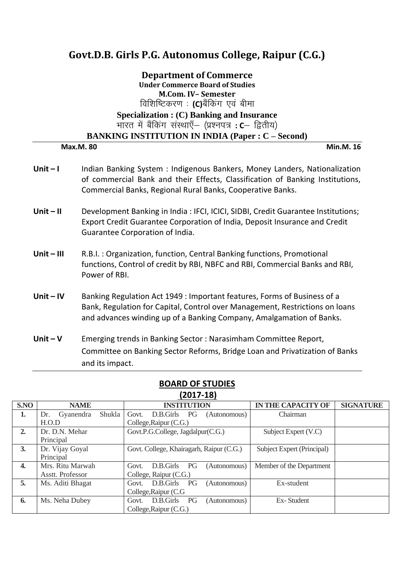# **Department of Commerce Under Commerce Board of Studies M.Com. IV– Semester**

विशिष्टिकरण : **(C)**बैंकिंग एवं बीमा

## **Specialization : (C) Banking and Insurance** भारत में बैंकिंग संस्थाएँ– (प्रश्नपत्र **: C**– द्वितीय)

#### **BANKING INSTITUTION IN INDIA (Paper : C – Second)**

**Max.M. 80 Min.M. 16**

- Unit I lndian Banking System : Indigenous Bankers, Money Landers, Nationalization of commercial Bank and their Effects, Classification of Banking Institutions, Commercial Banks, Regional Rural Banks, Cooperative Banks.
- **Unit – II** Development Banking in India : IFCI, ICICI, SIDBI, Credit Guarantee Institutions; Export Credit Guarantee Corporation of India, Deposit Insurance and Credit Guarantee Corporation of India.
- **Unit – III** R.B.I. : Organization, function, Central Banking functions, Promotional functions, Control of credit by RBI, NBFC and RBI, Commercial Banks and RBI, Power of RBI.
- **Unit – IV** Banking Regulation Act 1949 : Important features, Forms of Business of a Bank, Regulation for Capital, Control over Management, Restrictions on loans and advances winding up of a Banking Company, Amalgamation of Banks.
- **Unit – V** Emerging trends in Banking Sector : Narasimham Committee Report, Committee on Banking Sector Reforms, Bridge Loan and Privatization of Banks and its impact.

|                  | $1 - 2 - 7 - 7$            |                                                 |                            |                  |
|------------------|----------------------------|-------------------------------------------------|----------------------------|------------------|
| S.NO             | <b>NAME</b>                | <b>INSTITUTION</b>                              | <b>IN THE CAPACITY OF</b>  | <b>SIGNATURE</b> |
| 1.               | Shukla<br>Gyanendra<br>Dr. | Govt.<br>D.B.Girls PG<br>(Autonomous)           | Chairman                   |                  |
|                  | H.O.D                      | College, Raipur (C.G.)                          |                            |                  |
| 2.               | Dr. D.N. Mehar             | Govt.P.G.College, Jagdalpur(C.G.)               | Subject Expert (V.C)       |                  |
|                  | Principal                  |                                                 |                            |                  |
| 3.               | Dr. Vijay Goyal            | Govt. College, Khairagarh, Raipur (C.G.)        | Subject Expert (Principal) |                  |
|                  | Principal                  |                                                 |                            |                  |
| $\overline{4}$ . | Mrs. Ritu Marwah           | D.B.Girls PG<br>Govt.<br>(Autonomous)           | Member of the Department   |                  |
|                  | Asstt. Professor           | College, Raipur (C.G.)                          |                            |                  |
| 5.               | Ms. Aditi Bhagat           | D.B.Girls<br><b>PG</b><br>Govt.<br>(Autonomous) | Ex-student                 |                  |
|                  |                            | College, Raipur (C.G.                           |                            |                  |
| 6.               | Ms. Neha Dubey             | D.B.Girls PG<br>(Autonomous)<br>Govt.           | Ex-Student                 |                  |
|                  |                            | College, Raipur (C.G.)                          |                            |                  |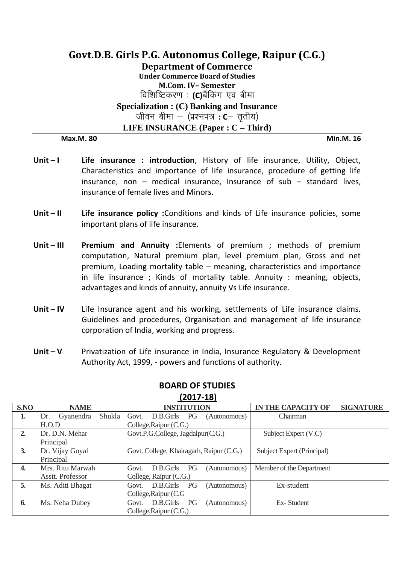# **Govt.D.B. Girls P.G. Autonomus College, Raipur (C.G.) Department of Commerce Under Commerce Board of Studies M.Com. IV– Semester** विशिष्टिकरण : **(C)**बैंकिंग एवं बीमा **Specialization : (C) Banking and Insurance** जीवन बीमा – (प्रश्नपत्र**: C**– तृतीय) **LIFE INSURANCE (Paper : C – Third)**

**Max.M. 80 Min.M. 16**

- Unit I **Life insurance : introduction**, History of life insurance, Utility, Object, Characteristics and importance of life insurance, procedure of getting life insurance, non  $-$  medical insurance, Insurance of sub  $-$  standard lives, insurance of female lives and Minors.
- **Unit – II Life insurance policy :**Conditions and kinds of Life insurance policies, some important plans of life insurance.
- **Unit – III Premium and Annuity :**Elements of premium ; methods of premium computation, Natural premium plan, level premium plan, Gross and net premium, Loading mortality table – meaning, characteristics and importance in life insurance ; Kinds of mortality table. Annuity : meaning, objects, advantages and kinds of annuity, annuity Vs Life insurance.
- **Unit IV** Life Insurance agent and his working, settlements of Life insurance claims. Guidelines and procedures, Organisation and management of life insurance corporation of India, working and progress.
- **Unit – V** Privatization of Life insurance in India, Insurance Regulatory & Development Authority Act, 1999, - powers and functions of authority.

| S.NO             | <b>NAME</b>                | <b>INSTITUTION</b>                              | <b>IN THE CAPACITY OF</b><br><b>SIGNATURE</b> |  |  |
|------------------|----------------------------|-------------------------------------------------|-----------------------------------------------|--|--|
| 1.               | Shukla<br>Gyanendra<br>Dr. | D.B.Girls PG<br>Govt.<br>(Autonomous)           | Chairman                                      |  |  |
|                  | H.O.D                      | College, Raipur (C.G.)                          |                                               |  |  |
| 2.               | Dr. D.N. Mehar             | Govt.P.G.College, Jagdalpur(C.G.)               | Subject Expert (V.C)                          |  |  |
|                  | Principal                  |                                                 |                                               |  |  |
| 3.               | Dr. Vijay Goyal            | Govt. College, Khairagarh, Raipur (C.G.)        | Subject Expert (Principal)                    |  |  |
|                  | Principal                  |                                                 |                                               |  |  |
| $\overline{4}$ . | Mrs. Ritu Marwah           | D.B.Girls PG<br>Govt.<br>(Autonomous)           | Member of the Department                      |  |  |
|                  | Asstt. Professor           | College, Raipur (C.G.)                          |                                               |  |  |
| 5.               | Ms. Aditi Bhagat           | D.B.Girls<br>PG<br>Govt.<br>(Autonomous)        | Ex-student                                    |  |  |
|                  |                            | College, Raipur (C.G.                           |                                               |  |  |
| 6.               | Ms. Neha Dubey             | D.B.Girls<br><b>PG</b><br>(Autonomous)<br>Govt. | Ex-Student                                    |  |  |
|                  |                            | College, Raipur (C.G.)                          |                                               |  |  |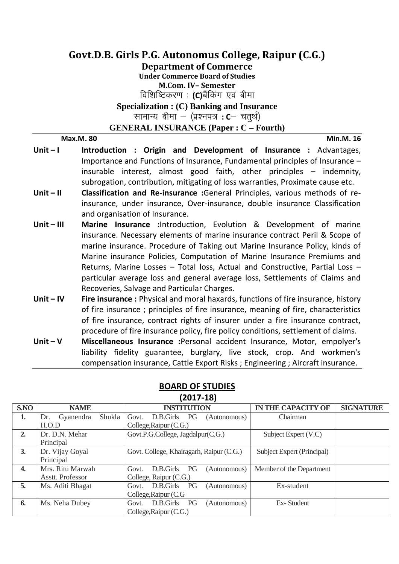**Department of Commerce**

**Under Commerce Board of Studies**

**M.Com. IV– Semester**

विशिष्टिकरण : **(C)**बैंकिंग एवं बीमा

**Specialization : (C) Banking and Insurance**

सामान्य बीमा – (प्रश्नपत्र **: C**– चतुर्थ)

**GENERAL INSURANCE (Paper : C – Fourth)**

**Max.M. 80 Min.M. 16**

- Unit **I Introduction** : Origin and Development of Insurance : Advantages, Importance and Functions of Insurance, Fundamental principles of Insurance – insurable interest, almost good faith, other principles – indemnity, subrogation, contribution, mitigating of loss warranties, Proximate cause etc.
- **Unit – II Classification and Re-insurance :**General Principles, various methods of reinsurance, under insurance, Over-insurance, double insurance Classification and organisation of Insurance.
- **Unit III Marine Insurance : Introduction, Evolution & Development of marine** insurance. Necessary elements of marine insurance contract Peril & Scope of marine insurance. Procedure of Taking out Marine Insurance Policy, kinds of Marine insurance Policies, Computation of Marine Insurance Premiums and Returns, Marine Losses – Total loss, Actual and Constructive, Partial Loss – particular average loss and general average loss, Settlements of Claims and Recoveries, Salvage and Particular Charges.
- **Unit – IV Fire insurance :** Physical and moral haxards, functions of fire insurance, history of fire insurance ; principles of fire insurance, meaning of fire, characteristics of fire insurance, contract rights of insurer under a fire insurance contract, procedure of fire insurance policy, fire policy conditions, settlement of claims.
- **Unit – V Miscellaneous Insurance :**Personal accident Insurance, Motor, empolyer's liability fidelity guarantee, burglary, live stock, crop. And workmen's compensation insurance, Cattle Export Risks ; Engineering ; Aircraft insurance.

| 1401/-101        |                            |                                                 |                            |                  |
|------------------|----------------------------|-------------------------------------------------|----------------------------|------------------|
| S.NO             | <b>NAME</b>                | <b>INSTITUTION</b>                              | <b>IN THE CAPACITY OF</b>  | <b>SIGNATURE</b> |
| 1.               | Shukla<br>Gyanendra<br>Dr. | <b>PG</b><br>Govt.<br>D.B.Girls<br>(Autonomous) | Chairman                   |                  |
|                  | H.O.D                      | College, Raipur (C.G.)                          |                            |                  |
| 2.               | Dr. D.N. Mehar             | Govt.P.G.College, Jagdalpur(C.G.)               | Subject Expert (V.C)       |                  |
|                  | Principal                  |                                                 |                            |                  |
| 3.               | Dr. Vijay Goyal            | Govt. College, Khairagarh, Raipur (C.G.)        | Subject Expert (Principal) |                  |
|                  | Principal                  |                                                 |                            |                  |
| $\overline{4}$ . | Mrs. Ritu Marwah           | D.B.Girls PG<br>Govt.<br>(Autonomous)           | Member of the Department   |                  |
|                  | Asstt. Professor           | College, Raipur (C.G.)                          |                            |                  |
| 5.               | Ms. Aditi Bhagat           | D.B.Girls<br>PG<br>(Autonomous)<br>Govt.        | Ex-student                 |                  |
|                  |                            | College, Raipur (C.G.                           |                            |                  |
| 6.               | Ms. Neha Dubey             | D.B.Girls PG<br>(Autonomous)<br>Govt.           | Ex-Student                 |                  |
|                  |                            | College, Raipur (C.G.)                          |                            |                  |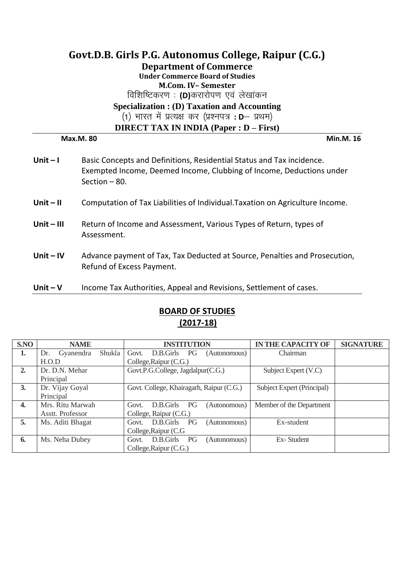# **Govt.D.B. Girls P.G. Autonomus College, Raipur (C.G.) Department of Commerce Under Commerce Board of Studies M.Com. IV– Semester** विशिष्टिकरण: (D)करारोपण एवं लेखांकन **Specialization : (D) Taxation and Accounting** (1) भारत में प्रत्यक्ष कर (प्रश्नपत्र: **D** प्रथम) **DIRECT TAX IN INDIA (Paper : D – First) Max.M. 80 Min.M. 16**

| Unit $-1$    | Basic Concepts and Definitions, Residential Status and Tax incidence.<br>Exempted Income, Deemed Income, Clubbing of Income, Deductions under<br>Section $-80$ . |
|--------------|------------------------------------------------------------------------------------------------------------------------------------------------------------------|
| $Unit - II$  | Computation of Tax Liabilities of Individual. Taxation on Agriculture Income.                                                                                    |
| $Unit - III$ | Return of Income and Assessment, Various Types of Return, types of<br>Assessment.                                                                                |
| Unit $-$ IV  | Advance payment of Tax, Tax Deducted at Source, Penalties and Prosecution,                                                                                       |

**Unit – V** Income Tax Authorities, Appeal and Revisions, Settlement of cases.

Refund of Excess Payment.

| S.NO         | <b>NAME</b>                | <b>INSTITUTION</b>                       | <b>IN THE CAPACITY OF</b>  | <b>SIGNATURE</b> |
|--------------|----------------------------|------------------------------------------|----------------------------|------------------|
| 1.           | Shukla<br>Gyanendra<br>Dr. | Govt.<br>D.B.Girls<br>PG<br>(Autonomous) | Chairman                   |                  |
|              | H.O.D                      | College, Raipur (C.G.)                   |                            |                  |
| 2.           | Dr. D.N. Mehar             | Govt.P.G.College, Jagdalpur(C.G.)        | Subject Expert (V.C)       |                  |
|              | Principal                  |                                          |                            |                  |
| 3.           | Dr. Vijay Goyal            | Govt. College, Khairagarh, Raipur (C.G.) | Subject Expert (Principal) |                  |
|              | Principal                  |                                          |                            |                  |
| $\mathbf{4}$ | Mrs. Ritu Marwah           | PG<br>D.B.Girls<br>(Autonomous)<br>Govt. | Member of the Department   |                  |
|              | Asstt. Professor           | College, Raipur (C.G.)                   |                            |                  |
| 5.           | Ms. Aditi Bhagat           | D.B.Girls<br>PG<br>(Autonomous)<br>Govt. | Ex-student                 |                  |
|              |                            | College, Raipur (C.G.                    |                            |                  |
| 6.           | Ms. Neha Dubey             | D.B.Girls<br>PG<br>(Autonomous)<br>Govt. | Ex-Student                 |                  |
|              |                            | College, Raipur (C.G.)                   |                            |                  |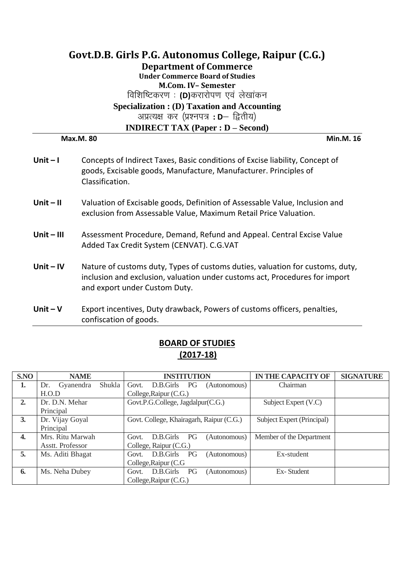# **Govt.D.B. Girls P.G. Autonomus College, Raipur (C.G.) Department of Commerce Under Commerce Board of Studies M.Com. IV– Semester** विशिष्टिकरण: (D)करारोपण एवं लेखांकन **Specialization : (D) Taxation and Accounting** अप्रत्यक्ष कर (प्रश्नपत्र: D- द्वितीय) **INDIRECT TAX (Paper : D – Second)**

**Max.M. 80 Min.M. 16**

| Unit $-1$    | Concepts of Indirect Taxes, Basic conditions of Excise liability, Concept of<br>goods, Excisable goods, Manufacture, Manufacturer. Principles of<br>Classification.                           |
|--------------|-----------------------------------------------------------------------------------------------------------------------------------------------------------------------------------------------|
| $Unit - II$  | Valuation of Excisable goods, Definition of Assessable Value, Inclusion and<br>exclusion from Assessable Value, Maximum Retail Price Valuation.                                               |
| $Unit - III$ | Assessment Procedure, Demand, Refund and Appeal. Central Excise Value<br>Added Tax Credit System (CENVAT). C.G.VAT                                                                            |
| Unit $-$ IV  | Nature of customs duty, Types of customs duties, valuation for customs, duty,<br>inclusion and exclusion, valuation under customs act, Procedures for import<br>and export under Custom Duty. |
| Unit $-V$    | Export incentives, Duty drawback, Powers of customs officers, penalties,<br>confiscation of goods.                                                                                            |

| S.NO             | <b>NAME</b>                | <b>INSTITUTION</b>                       | <b>IN THE CAPACITY OF</b>  | <b>SIGNATURE</b> |
|------------------|----------------------------|------------------------------------------|----------------------------|------------------|
| 1.               | Shukla<br>Gyanendra<br>Dr. | D.B.Girls<br>PG<br>Govt.<br>(Autonomous) | Chairman                   |                  |
|                  | H.O.D                      | College, Raipur (C.G.)                   |                            |                  |
| 2.               | Dr. D.N. Mehar             | Govt.P.G.College, Jagdalpur(C.G.)        | Subject Expert (V.C)       |                  |
|                  | Principal                  |                                          |                            |                  |
| 3.               | Dr. Vijay Goyal            | Govt. College, Khairagarh, Raipur (C.G.) | Subject Expert (Principal) |                  |
|                  | Principal                  |                                          |                            |                  |
| $\overline{4}$ . | Mrs. Ritu Marwah           | PG<br>D.B.Girls<br>(Autonomous)<br>Govt. | Member of the Department   |                  |
|                  | Asstt. Professor           | College, Raipur (C.G.)                   |                            |                  |
| 5.               | Ms. Aditi Bhagat           | D.B.Girls<br>PG<br>(Autonomous)<br>Govt. | Ex-student                 |                  |
|                  |                            | College, Raipur (C.G.                    |                            |                  |
| 6.               | Ms. Neha Dubey             | D.B.Girls<br>PG<br>(Autonomous)<br>Govt. | Ex-Student                 |                  |
|                  |                            | College, Raipur (C.G.)                   |                            |                  |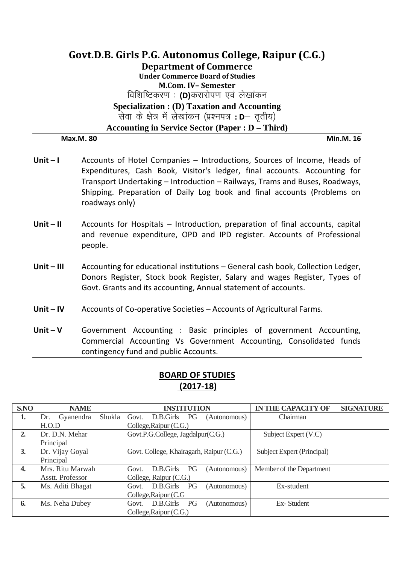# **Govt.D.B. Girls P.G. Autonomus College, Raipur (C.G.) Department of Commerce Under Commerce Board of Studies M.Com. IV– Semester विशिष्टिकरण : (D)करारोपण एवं लेखांकन Specialization : (D) Taxation and Accounting** सेवा के क्षेत्र में लेखांकन (प्रश्नपत्र: **D** नुतीय) **Accounting in Service Sector (Paper : D – Third) Max.M. 80 Min.M. 16**

- Unit I **Accounts of Hotel Companies Introductions, Sources of Income, Heads of** Expenditures, Cash Book, Visitor's ledger, final accounts. Accounting for Transport Undertaking – Introduction – Railways, Trams and Buses, Roadways, Shipping. Preparation of Daily Log book and final accounts (Problems on roadways only)
- **Unit II** Accounts for Hospitals Introduction, preparation of final accounts, capital and revenue expenditure, OPD and IPD register. Accounts of Professional people.
- **Unit – III** Accounting for educational institutions General cash book, Collection Ledger, Donors Register, Stock book Register, Salary and wages Register, Types of Govt. Grants and its accounting, Annual statement of accounts.
- **Unit – IV** Accounts of Co-operative Societies Accounts of Agricultural Farms.
- **Unit – V** Government Accounting : Basic principles of government Accounting, Commercial Accounting Vs Government Accounting, Consolidated funds contingency fund and public Accounts.

| <b>BOARD OF STUDIES</b> |
|-------------------------|
| $(2017-18)$             |
|                         |

| S.NO | <b>NAME</b>                | <b>INSTITUTION</b>                              | <b>IN THE CAPACITY OF</b>  | <b>SIGNATURE</b> |
|------|----------------------------|-------------------------------------------------|----------------------------|------------------|
| 1.   | Shukla<br>Gyanendra<br>Dr. | D.B.Girls<br>Govt.<br><b>PG</b><br>(Autonomous) | Chairman                   |                  |
|      | H.O.D                      | College, Raipur (C.G.)                          |                            |                  |
| 2.   | Dr. D.N. Mehar             | Govt.P.G.College, Jagdalpur(C.G.)               | Subject Expert (V.C)       |                  |
|      | Principal                  |                                                 |                            |                  |
| 3.   | Dr. Vijay Goyal            | Govt. College, Khairagarh, Raipur (C.G.)        | Subject Expert (Principal) |                  |
|      | Principal                  |                                                 |                            |                  |
| 4.   | Mrs. Ritu Marwah           | PG<br>D.B.Girls<br>(Autonomous)<br>Govt.        | Member of the Department   |                  |
|      | Asstt. Professor           | College, Raipur (C.G.)                          |                            |                  |
| 5.   | Ms. Aditi Bhagat           | D.B.Girls<br>PG<br>(Autonomous)<br>Govt.        | Ex-student                 |                  |
|      |                            | College, Raipur (C.G.                           |                            |                  |
| 6.   | Ms. Neha Dubey             | D.B.Girls<br>PG<br>(Autonomous)<br>Govt.        | Ex-Student                 |                  |
|      |                            | College, Raipur (C.G.)                          |                            |                  |